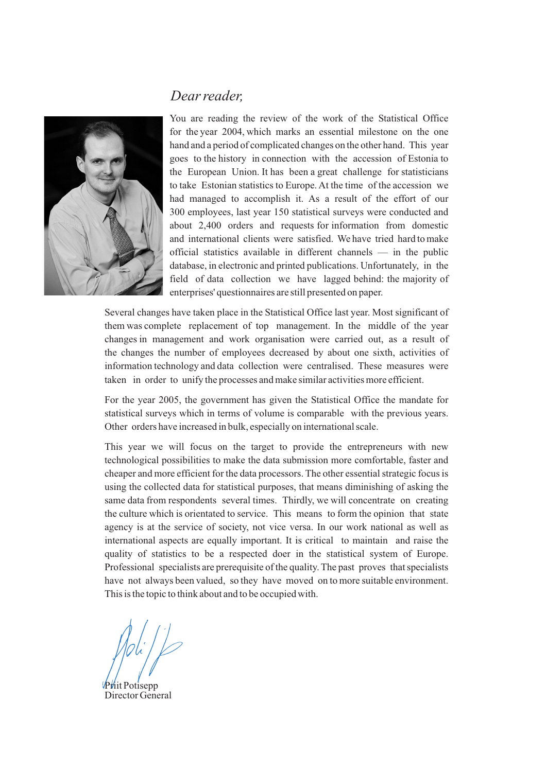# *Dear reader,*



You are reading the review of the work of the Statistical Office for the year 2004, which marks an essential milestone on the one hand and a period of complicated changes on the other hand. This year goes to the history in connection with the accession of Estonia to the European Union. It has been a great challenge for statisticians to take Estonian statistics to Europe. At the time of the accession we had managed to accomplish it. As a result of the effort of our 300 employees, last year 150 statistical surveys were conducted and about 2,400 orders and requests for information from domestic and international clients were satisfied. We have tried hard to make official statistics available in different channels — in the public database, in electronic and printed publications. Unfortunately, in the field of data collection we have lagged behind: the majority of enterprises' questionnaires are still presented on paper.

Several changes have taken place in the Statistical Office last year. Most significant of them was complete replacement of top management. In the middle of the year changes in management and work organisation were carried out, as a result of the changes the number of employees decreased by about one sixth, activities of information technology and data collection were centralised. These measures were taken in order to unify the processes and make similar activities more efficient.

For the year 2005, the government has given the Statistical Office the mandate for statistical surveys which in terms of volume is comparable with the previous years. Other orders have increased in bulk, especially on international scale.

This year we will focus on the target to provide the entrepreneurs with new technological possibilities to make the data submission more comfortable, faster and cheaper and more efficient for the data processors. The other essential strategic focus is using the collected data for statistical purposes, that means diminishing of asking the same data from respondents several times. Thirdly, we will concentrate on creating the culture which is orientated to service. This means to form the opinion that state agency is at the service of society, not vice versa. In our work national as well as international aspects are equally important. It is critical to maintain and raise the quality of statistics to be a respected doer in the statistical system of Europe. Professional specialists are prerequisite of the quality. The past proves that specialists have not always been valued, so they have moved on to more suitable environment. This is the topic to think about and to be occupied with.

hit Potisepp Director General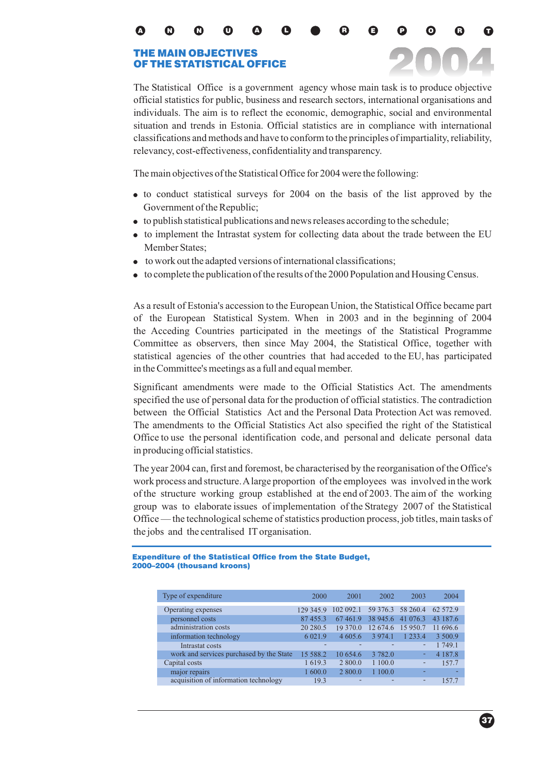# THE MAIN OBJECTIVES OF THE STATISTICAL OFFICE



The Statistical Office is a government agency whose main task is to produce objective official statistics for public, business and research sectors, international organisations and individuals. The aim is to reflect the economic, demographic, social and environmental situation and trends in Estonia. Official statistics are in compliance with international classifications and methods and have to conform to the principles of impartiality, reliability, relevancy, cost-effectiveness, confidentiality and transparency.

The main objectives of the Statistical Office for 2004 were the following:

- to conduct statistical surveys for 2004 on the basis of the list approved by the Government of the Republic;
- to publish statistical publications and news releases according to the schedule;
- to implement the Intrastat system for collecting data about the trade between the EU Member States;
- to work out the adapted versions of international classifications;
- to complete the publication of the results of the 2000 Population and Housing Census.

As a result of Estonia's accession to the European Union, the Statistical Office became part of the European Statistical System. When in 2003 and in the beginning of 2004 the Acceding Countries participated in the meetings of the Statistical Programme Committee as observers, then since May 2004, the Statistical Office, together with statistical agencies of the other countries that had acceded to the EU, has participated in the Committee's meetings as a full and equal member.

Significant amendments were made to the Official Statistics Act. The amendments specified the use of personal data for the production of official statistics. The contradiction between the Official Statistics Act and the Personal Data Protection Act was removed. The amendments to the Official Statistics Act also specified the right of the Statistical Office to use the personal identification code, and personal and delicate personal data in producing official statistics.

The year 2004 can, first and foremost, be characterised by the reorganisation of the Office's work process and structure.Alarge proportion of the employees was involved in the work of the structure working group established at the end of 2003. The aim of the working group was to elaborate issues of implementation of the Strategy 2007 of the Statistical Office — the technological scheme of statistics production process, job titles, main tasks of the jobs and the centralised IT organisation.

Expenditure of the Statistical Office from the State Budget, 2000–2004 (thousand kroons)

| Type of expenditure                      | 2000       | 2001      | 2002      | 2003                     | 2004        |
|------------------------------------------|------------|-----------|-----------|--------------------------|-------------|
| Operating expenses                       | 129 345.9  | 102 092.1 | 59 376.3  | 58 260.4                 | 62 572.9    |
| personnel costs                          | 87455.3    | 67461.9   | 38 945.6  | 41 076.3                 | 43 187.6    |
| administration costs                     | 20 280.5   | 19 370.0  | 12 674.6  | 15 950.7                 | 11 696.6    |
| information technology                   | 6 0 2 1 .9 | 4 605.6   | 3 9 7 4 1 | 1 233 4                  | 3 500.9     |
| Intrastat costs                          | ۰          |           |           | $\overline{\phantom{a}}$ | 1 749.1     |
| work and services purchased by the State | 15 588.2   | 10 654.6  | 3 782.0   | ٠                        | 4 1 8 7 . 8 |
| Capital costs                            | 1 619.3    | 2 800.0   | 1 100.0   | ٠                        | 157.7       |
| major repairs                            | 1 600.0    | 2 800.0   | 1 100.0   |                          |             |
| acquisition of information technology    | 19.3       |           |           | ٠                        | 157.7       |

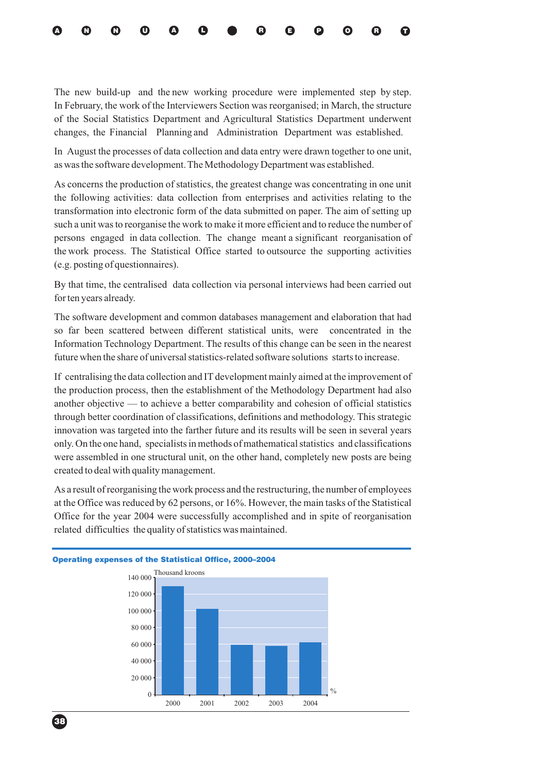| 0 0 0 0 0 0 0 0 0 0 0 0 0 |  |  |  |  |  |  |  |  |  |  |  |  |  |
|---------------------------|--|--|--|--|--|--|--|--|--|--|--|--|--|
|---------------------------|--|--|--|--|--|--|--|--|--|--|--|--|--|

The new build-up and the new working procedure were implemented step by step. In February, the work of the Interviewers Section was reorganised; in March, the structure of the Social Statistics Department and Agricultural Statistics Department underwent changes, the Financial Planning and Administration Department was established.

In August the processes of data collection and data entry were drawn together to one unit, as was the software development. The Methodology Department was established.

As concerns the production of statistics, the greatest change was concentrating in one unit the following activities: data collection from enterprises and activities relating to the transformation into electronic form of the data submitted on paper. The aim of setting up such a unit was to reorganise the work to make it more efficient and to reduce the number of persons engaged in data collection. The change meant a significant reorganisation of the work process. The Statistical Office started to outsource the supporting activities (e.g. posting of questionnaires).

By that time, the centralised data collection via personal interviews had been carried out for ten years already.

The software development and common databases management and elaboration that had so far been scattered between different statistical units, were concentrated in the Information Technology Department. The results of this change can be seen in the nearest future when the share of universal statistics-related software solutions starts to increase.

If centralising the data collection and IT development mainly aimed at the improvement of the production process, then the establishment of the Methodology Department had also another objective — to achieve a better comparability and cohesion of official statistics through better coordination of classifications, definitions and methodology. This strategic innovation was targeted into the farther future and its results will be seen in several years only. On the one hand, specialists in methods of mathematical statistics and classifications were assembled in one structural unit, on the other hand, completely new posts are being created to deal with quality management.

As a result of reorganising the work process and the restructuring, the number of employees at the Office was reduced by 62 persons, or 16%. However, the main tasks of the Statistical Office for the year 2004 were successfully accomplished and in spite of reorganisation related difficulties the quality of statistics was maintained.





38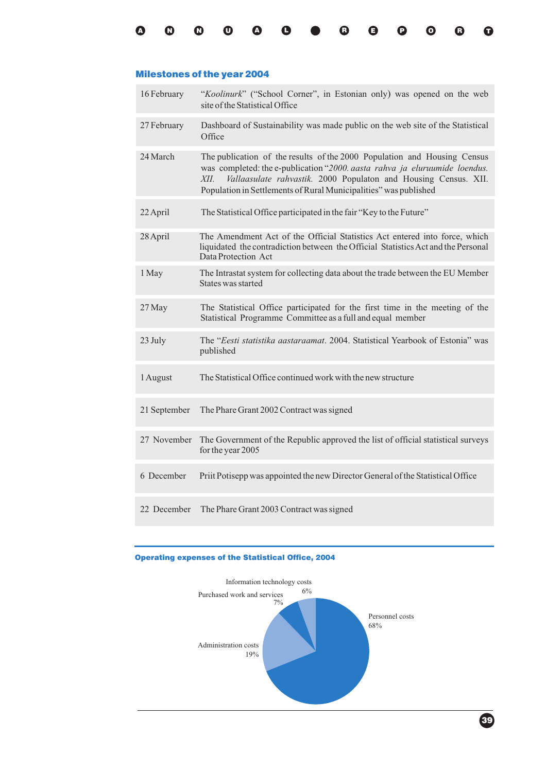# Milestones of the year 2004

| 16 February  | "Koolinurk" ("School Corner", in Estonian only) was opened on the web<br>site of the Statistical Office                                                                                                                                                                                               |
|--------------|-------------------------------------------------------------------------------------------------------------------------------------------------------------------------------------------------------------------------------------------------------------------------------------------------------|
| 27 February  | Dashboard of Sustainability was made public on the web site of the Statistical<br>Office                                                                                                                                                                                                              |
| 24 March     | The publication of the results of the 2000 Population and Housing Census<br>was completed: the e-publication "2000. aasta rahva ja eluruumide loendus.<br>Vallaasulate rahvastik. 2000 Populaton and Housing Census. XII.<br>XII.<br>Population in Settlements of Rural Municipalities" was published |
| 22 April     | The Statistical Office participated in the fair "Key to the Future"                                                                                                                                                                                                                                   |
| 28 April     | The Amendment Act of the Official Statistics Act entered into force, which<br>liquidated the contradiction between the Official Statistics Act and the Personal<br>Data Protection Act                                                                                                                |
| 1 May        | The Intrastat system for collecting data about the trade between the EU Member<br>States was started                                                                                                                                                                                                  |
| 27 May       | The Statistical Office participated for the first time in the meeting of the<br>Statistical Programme Committee as a full and equal member                                                                                                                                                            |
| 23 July      | The "Eesti statistika aastaraamat. 2004. Statistical Yearbook of Estonia" was<br>published                                                                                                                                                                                                            |
| 1 August     | The Statistical Office continued work with the new structure                                                                                                                                                                                                                                          |
| 21 September | The Phare Grant 2002 Contract was signed                                                                                                                                                                                                                                                              |
| 27 November  | The Government of the Republic approved the list of official statistical surveys<br>for the year 2005                                                                                                                                                                                                 |
| 6 December   | Priit Potisepp was appointed the new Director General of the Statistical Office                                                                                                                                                                                                                       |
| 22 December  | The Phare Grant 2003 Contract was signed                                                                                                                                                                                                                                                              |

# Operating expenses of the Statistical Office, 2004



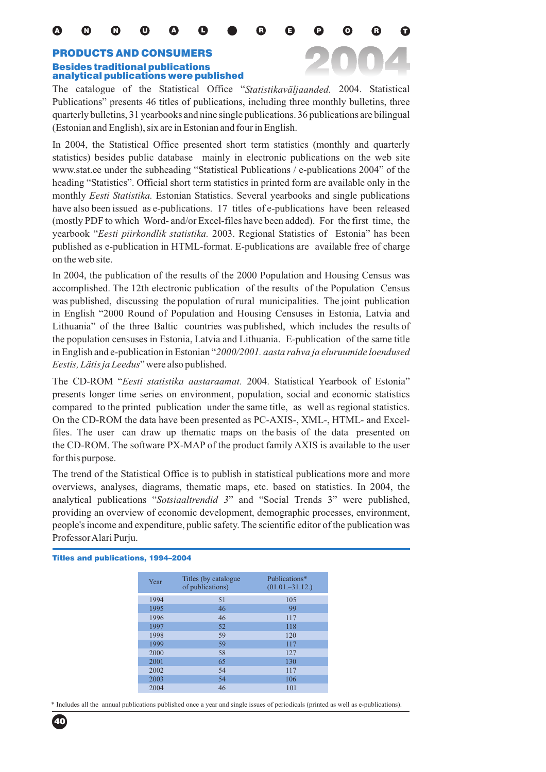# PRODUCTS AND CONSUMERS Besides traditional publications analytical publications were published

The catalogue of the Statistical Office "Statistikaväljaanded. 2004. Statistical Publications" presents 46 titles of publications, including three monthly bulletins, three quarterly bulletins, 31 yearbooks and nine single publications. 36 publications are bilingual (Estonian and English), six are in Estonian and four in English. 2004

In 2004, the Statistical Office presented short term statistics (monthly and quarterly statistics) besides public database mainly in electronic publications on the web site www.stat.ee under the subheading "Statistical Publications / e-publications 2004" of the heading "Statistics". Official short term statistics in printed form are available only in the monthly *Eesti Statistika*. Estonian Statistics. Several yearbooks and single publications have also been issued as e-publications. 17 titles of e-publications have been released (mostly PDF to which Word- and/or Excel-files have been added). For the first time, the yearbook "Eesti piirkondlik statistika. 2003. Regional Statistics of Estonia" has been published as e-publication in HTML-format. E-publications are available free of charge on the web site.

In 2004, the publication of the results of the 2000 Population and Housing Census was accomplished. The 12th electronic publication of the results of the Population Census was published, discussing the population of rural municipalities. The joint publication in English "2000 Round of Population and Housing Censuses in Estonia, Latvia and Lithuania" of the three Baltic countries was published, which includes the results of the population censuses in Estonia, Latvia and Lithuania. E-publication of the same title in English and e-publication in Estonian " *2000/2001. aasta rahva ja eluruumide loendused* Eestis, Lätis ja Leedus" were also published.

The CD-ROM "Eesti statistika aastaraamat. 2004. Statistical Yearbook of Estonia" presents longer time series on environment, population, social and economic statistics compared to the printed publication under the same title, as well as regional statistics. On the CD-ROM the data have been presented as PC-AXIS-, XML-, HTML- and Excelfiles. The user can draw up thematic maps on the basis of the data presented on the CD-ROM. The software PX-MAP of the product family AXIS is available to the user for this purpose.

The trend of the Statistical Office is to publish in statistical publications more and more overviews, analyses, diagrams, thematic maps, etc. based on statistics. In 2004, the analytical publications "Sotsiaaltrendid 3" and "Social Trends 3" were published, providing an overview of economic development, demographic processes, environment, people's income and expenditure, public safety. The scientific editor of the publication was ProfessorAlari Purju.

| Year | Titles (by catalogue)<br>of publications) | Publications*<br>$(01.01,-31.12.)$ |
|------|-------------------------------------------|------------------------------------|
| 1994 | 51                                        | 105                                |
| 1995 | 46                                        | 99                                 |
| 1996 | 46                                        | 117                                |
| 1997 | 52                                        | 118                                |
| 1998 | 59                                        | 120                                |
| 1999 | 59                                        | 117                                |
| 2000 | 58                                        | 127                                |
| 2001 | 65                                        | 130                                |
| 2002 | 54                                        | 117                                |
| 2003 | 54                                        | 106                                |
| 2004 | 46                                        | 101                                |

#### Titles and publications, 1994–2004

\* Includes all the annual publications published once a year and single issues of periodicals (printed as well as e-publications).

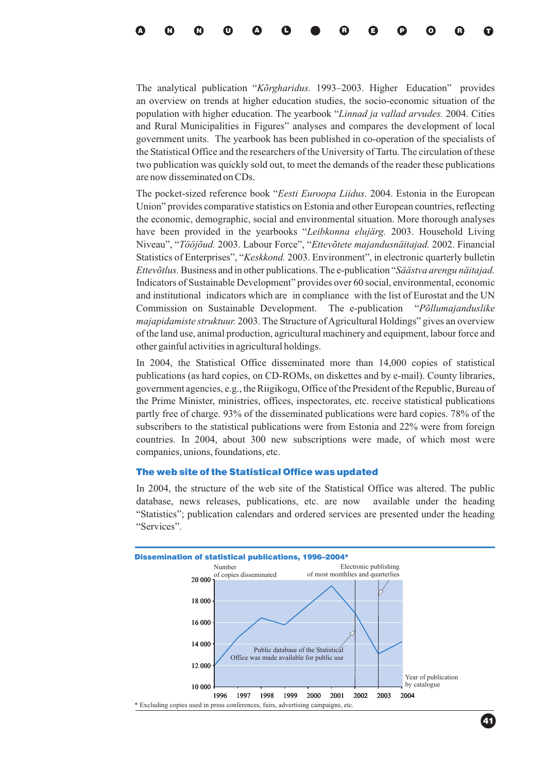The analytical publication "Kõrgharidus. 1993–2003. Higher Education" provides an overview on trends at higher education studies, the socio-economic situation of the population with higher education. The yearbook "Linnad ja vallad arvudes. 2004. Cities and Rural Municipalities in Figures" analyses and compares the development of local government units. The yearbook has been published in co-operation of the specialists of the Statistical Office and the researchers of the University of Tartu. The circulation of these two publication was quickly sold out, to meet the demands of the reader these publications are now disseminated on CDs.

The pocket-sized reference book "Eesti Euroopa Liidus. 2004. Estonia in the European Union" provides comparative statistics on Estonia and other European countries, reflecting the economic, demographic, social and environmental situation. More thorough analyses have been provided in the yearbooks "Leibkonna elujärg. 2003. Household Living Niveau", "Tööjõud. 2003. Labour Force", "Ettevõtete majandusnäitajad. 2002. Financial Statistics of Enterprises", "Keskkond. 2003. Environment", in electronic quarterly bulletin Business and in other publications. The e-publication " *Ettevõtlus. Säästva arengu näitajad.* Indicators of Sustainable Development" provides over 60 social, environmental, economic and institutional indicators which are in compliance with the list of Eurostat and the UN Commission on Sustainable Development. The e-publication majapidamiste struktuur. 2003. The Structure of Agricultural Holdings" gives an overview of the land use, animal production, agricultural machinery and equipment, labour force and other gainful activities in agricultural holdings. *Põllumajanduslike*

In 2004, the Statistical Office disseminated more than 14,000 copies of statistical publications (as hard copies, on CD-ROMs, on diskettes and by e-mail). County libraries, government agencies, e.g., the Riigikogu, Office of the President of the Republic, Bureau of the Prime Minister, ministries, offices, inspectorates, etc. receive statistical publications partly free of charge. 93% of the disseminated publications were hard copies. 78% of the subscribers to the statistical publications were from Estonia and 22% were from foreign countries. In 2004, about 300 new subscriptions were made, of which most were companies, unions, foundations, etc.

#### The web site of the Statistical Office was updated

In 2004, the structure of the web site of the Statistical Office was altered. The public database, news releases, publications, etc. are now available under the heading "Statistics"; publication calendars and ordered services are presented under the heading "Services".



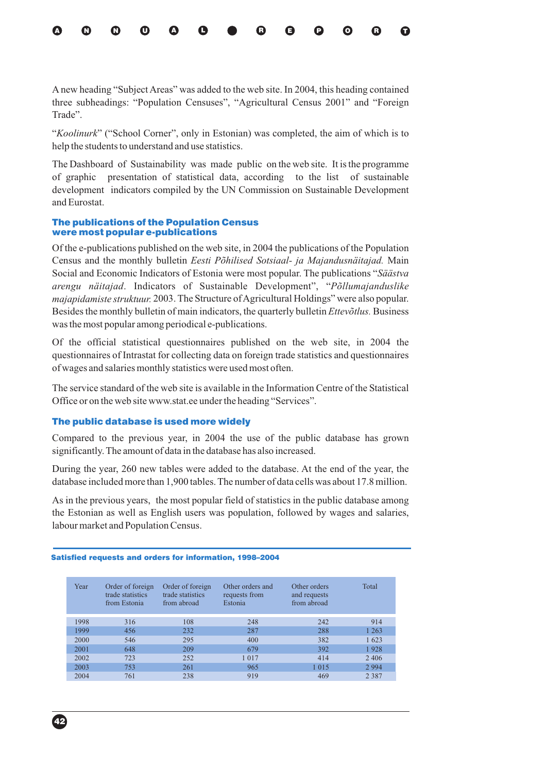| 0 0 0 0 0 0 0 0 0 0 0 0 0 |  |  |  |  |  |  |  |  |  |  |  |  |  |
|---------------------------|--|--|--|--|--|--|--|--|--|--|--|--|--|
|---------------------------|--|--|--|--|--|--|--|--|--|--|--|--|--|

A new heading "Subject Areas" was added to the web site. In 2004, this heading contained three subheadings: "Population Censuses", "Agricultural Census 2001" and "Foreign Trade".

"Koolinurk" ("School Corner", only in Estonian) was completed, the aim of which is to help the students to understand and use statistics.

The Dashboard of Sustainability was made public on the web site. It is the programme of graphic presentation of statistical data, according to the list of sustainable development indicators compiled by the UN Commission on Sustainable Development and Eurostat.

## The publications of the Population Census were most popular e-publications

Of the e-publications published on the web site, in 2004 the publications of the Population Census and the monthly bulletin Eesti Põhilised Sotsiaal- ja Majandusnäitajad. Main Social and Economic Indicators of Estonia were most popular. The publications " *Säästva* arengu näitajad. Indicators of Sustainable Development", "Põllumajanduslike majapidamiste struktuur. 2003. The Structure of Agricultural Holdings" were also popular. Besides the monthly bulletin of main indicators, the quarterly bulletin *Ettevõtlus*. Business was the most popular among periodical e-publications.

Of the official statistical questionnaires published on the web site, in 2004 the questionnaires of Intrastat for collecting data on foreign trade statistics and questionnaires of wages and salaries monthly statistics were used most often.

The service standard of the web site is available in the Information Centre of the Statistical Office or on the web site www.stat.ee under the heading "Services".

## The public database is used more widely

Compared to the previous year, in 2004 the use of the public database has grown significantly. The amount of data in the database has also increased.

During the year, 260 new tables were added to the database. At the end of the year, the database included more than 1,900 tables. The number of data cells was about 17.8 million.

As in the previous years, the most popular field of statistics in the public database among the Estonian as well as English users was population, followed by wages and salaries, labour market and Population Census.

| Year | Order of foreign<br>trade statistics<br>from Estonia | Order of foreign<br>trade statistics<br>from abroad | Other orders and<br>requests from<br>Estonia | Other orders<br>and requests<br>from abroad | Total   |
|------|------------------------------------------------------|-----------------------------------------------------|----------------------------------------------|---------------------------------------------|---------|
| 1998 | 316                                                  | 108                                                 | 248                                          | 242                                         | 914     |
| 1999 | 456                                                  | 232                                                 | 287                                          | 288                                         | 1 2 6 3 |
| 2000 | 546                                                  | 295                                                 | 400                                          | 382                                         | 1 623   |
| 2001 | 648                                                  | 209                                                 | 679                                          | 392                                         | 1928    |
| 2002 | 723                                                  | 252                                                 | 1017                                         | 414                                         | 2 4 0 6 |
| 2003 | 753                                                  | 261                                                 | 965                                          | 1 0 1 5                                     | 2 9 9 4 |
| 2004 | 761                                                  | 238                                                 | 919                                          | 469                                         | 2 3 8 7 |

#### Satisfied requests and orders for information, 1998-2004

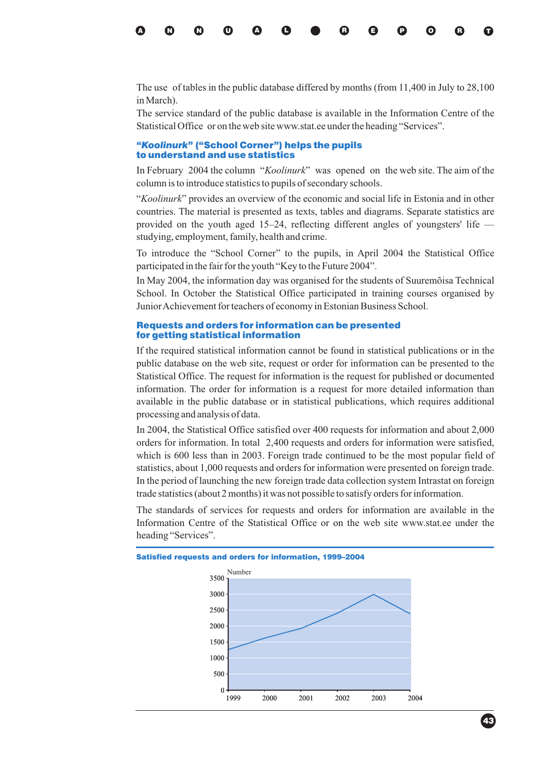

The use of tables in the public database differed by months (from 11,400 in July to 28,100 in March).

The service standard of the public database is available in the Information Centre of the Statistical Office or on the web site www.stat.ee under the heading "Services".

#### "Koolinurk" ("School Corner") helps the pupils to understand and use statistics

In February 2004 the column "*Koolinurk*" was opened on the web site. The aim of the column is to introduce statistics to pupils of secondary schools.

"Koolinurk" provides an overview of the economic and social life in Estonia and in other countries. The material is presented as texts, tables and diagrams. Separate statistics are provided on the youth aged 15–24, reflecting different angles of youngsters' life studying, employment, family, health and crime.

To introduce the "School Corner" to the pupils, in April 2004 the Statistical Office participated in the fair for the youth "Key to the Future 2004".

In May 2004, the information day was organised for the students of Suuremõisa Technical School. In October the Statistical Office participated in training courses organised by JuniorAchievement for teachers of economy in Estonian Business School.

## Requests and orders for information can be presented for getting statistical information

If the required statistical information cannot be found in statistical publications or in the public database on the web site, request or order for information can be presented to the Statistical Office. The request for information is the request for published or documented information. The order for information is a request for more detailed information than available in the public database or in statistical publications, which requires additional processing and analysis of data.

In 2004, the Statistical Office satisfied over 400 requests for information and about 2,000 orders for information. In total 2,400 requests and orders for information were satisfied, which is 600 less than in 2003. Foreign trade continued to be the most popular field of statistics, about 1,000 requests and orders for information were presented on foreign trade. In the period of launching the new foreign trade data collection system Intrastat on foreign trade statistics (about 2 months) it was not possible to satisfy orders for information.

The standards of services for requests and orders for information are available in the Information Centre of the Statistical Office or on the web site www.stat.ee under the heading "Services".





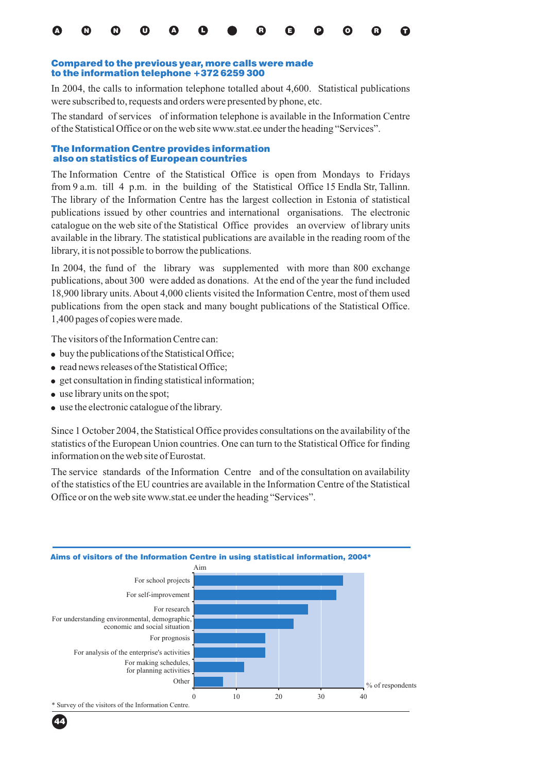#### Compared to the previous year, more calls were made to the information telephone +372 6259 300

In 2004, the calls to information telephone totalled about 4,600. Statistical publications were subscribed to, requests and orders were presented by phone, etc.

The standard of services of information telephone is available in the Information Centre of the Statistical Office or on the web site www.stat.ee under the heading "Services".

#### The Information Centre provides information also on statistics of European countries

The Information Centre of the Statistical Office is open from Mondays to Fridays from 9 a.m. till 4 p.m. in the building of the Statistical Office 15 Endla Str, Tallinn. The library of the Information Centre has the largest collection in Estonia of statistical publications issued by other countries and international organisations. The electronic catalogue on the web site of the Statistical Office provides an overview of library units available in the library. The statistical publications are available in the reading room of the library, it is not possible to borrow the publications.

In 2004, the fund of the library was supplemented with more than 800 exchange publications, about 300 were added as donations. At the end of the year the fund included 18,900 library units. About 4,000 clients visited the Information Centre, most of them used publications from the open stack and many bought publications of the Statistical Office. 1,400 pages of copies were made.

The visitors of the Information Centre can:

- buy the publications of the Statistical Office;
- read news releases of the Statistical Office;
- get consultation in finding statistical information;
- use library units on the spot;
- use the electronic catalogue of the library.

Since 1 October 2004, the Statistical Office provides consultations on the availability of the statistics of the European Union countries. One can turn to the Statistical Office for finding information on the web site of Eurostat.

The service standards of the Information Centre and of the consultation on availability of the statistics of the EU countries are available in the Information Centre of the Statistical Office or on the web site www.stat.ee under the heading "Services".



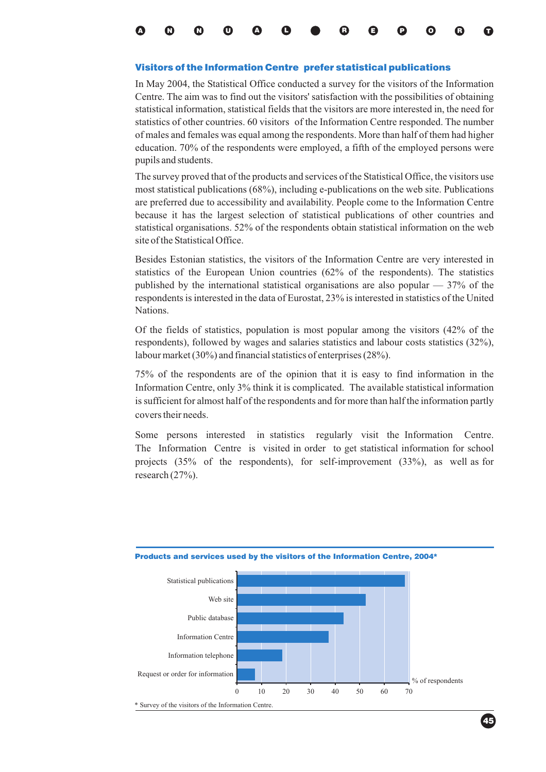

## Visitors of the Information Centre prefer statistical publications

In May 2004, the Statistical Office conducted a survey for the visitors of the Information Centre. The aim was to find out the visitors' satisfaction with the possibilities of obtaining statistical information, statistical fields that the visitors are more interested in, the need for statistics of other countries. 60 visitors of the Information Centre responded. The number of males and females was equal among the respondents. More than half of them had higher education. 70% of the respondents were employed, a fifth of the employed persons were pupils and students.

The survey proved that of the products and services of the Statistical Office, the visitors use most statistical publications (68%), including e-publications on the web site. Publications are preferred due to accessibility and availability. People come to the Information Centre because it has the largest selection of statistical publications of other countries and statistical organisations. 52% of the respondents obtain statistical information on the web site of the Statistical Office.

Besides Estonian statistics, the visitors of the Information Centre are very interested in statistics of the European Union countries (62% of the respondents). The statistics published by the international statistical organisations are also popular  $-$  37% of the respondents is interested in the data of Eurostat, 23% is interested in statistics of the United Nations.

Of the fields of statistics, population is most popular among the visitors (42% of the respondents), followed by wages and salaries statistics and labour costs statistics (32%), labour market (30%) and financial statistics of enterprises (28%).

75% of the respondents are of the opinion that it is easy to find information in the Information Centre, only 3% think it is complicated. The available statistical information is sufficient for almost half of the respondents and for more than half the information partly covers their needs.

Some persons interested in statistics regularly visit the Information Centre. The Information Centre is visited in order to get statistical information for school projects (35% of the respondents), for self-improvement (33%), as well as for research (27%).



#### Products and services used by the visitors of the Information Centre, 2004\*

45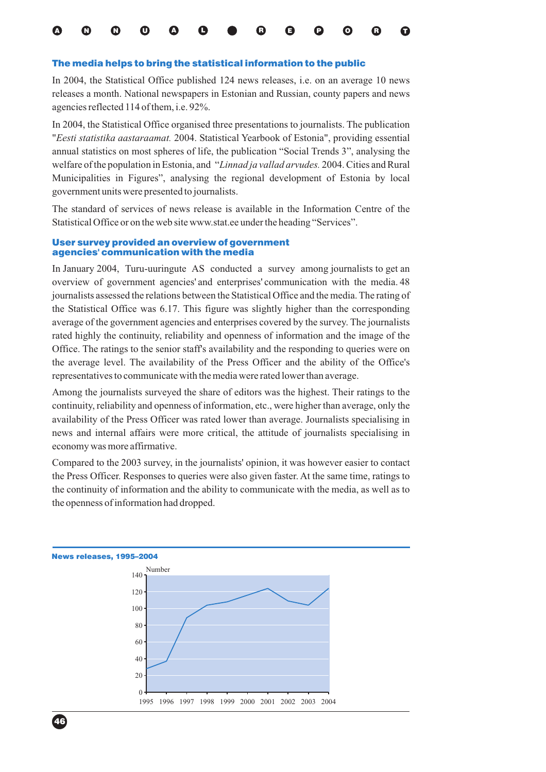

#### The media helps to bring the statistical information to the public

In 2004, the Statistical Office published 124 news releases, i.e. on an average 10 news releases a month. National newspapers in Estonian and Russian, county papers and news agencies reflected 114 of them, i.e. 92%.

In 2004, the Statistical Office organised three presentations to journalists. The publication "Eesti statistika aastaraamat. 2004. Statistical Yearbook of Estonia", providing essential annual statistics on most spheres of life, the publication "Social Trends 3", analysing the welfare of the population in Estonia, and "Linnad ja vallad arvudes. 2004. Cities and Rural Municipalities in Figures", analysing the regional development of Estonia by local government units were presented to journalists.

The standard of services of news release is available in the Information Centre of the Statistical Office or on the web site www.stat.ee under the heading "Services".

#### User survey provided an overview of government agencies' communication with the media

In January 2004, Turu-uuringute AS conducted a survey among journalists to get an overview of government agencies' and enterprises' communication with the media. 48 journalists assessed the relations between the Statistical Office and the media. The rating of the Statistical Office was 6.17. This figure was slightly higher than the corresponding average of the government agencies and enterprises covered by the survey. The journalists rated highly the continuity, reliability and openness of information and the image of the Office. The ratings to the senior staff's availability and the responding to queries were on the average level. The availability of the Press Officer and the ability of the Office's representatives to communicate with the media were rated lower than average.

Among the journalists surveyed the share of editors was the highest. Their ratings to the continuity, reliability and openness of information, etc., were higher than average, only the availability of the Press Officer was rated lower than average. Journalists specialising in news and internal affairs were more critical, the attitude of journalists specialising in economy was more affirmative.

Compared to the 2003 survey, in the journalists' opinion, it was however easier to contact the Press Officer. Responses to queries were also given faster. At the same time, ratings to the continuity of information and the ability to communicate with the media, as well as to the openness of information had dropped.

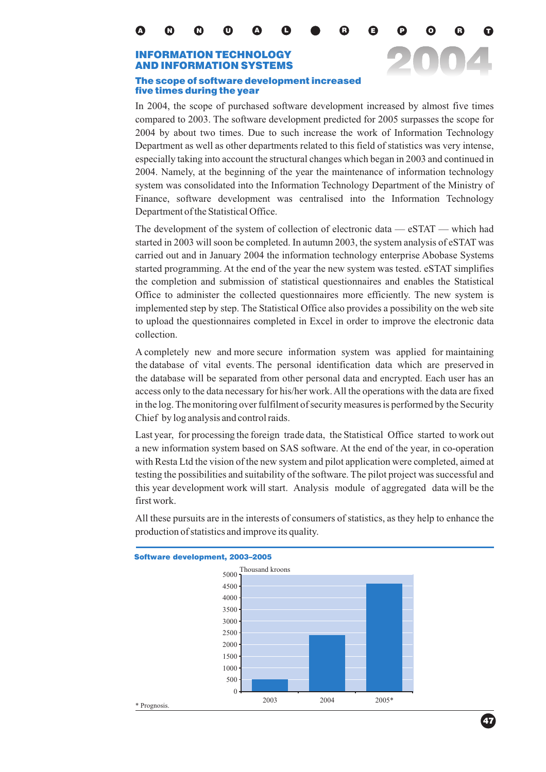# INFORMATION TECHNOLOGY AND INFORMATION SYSTEMS

## The scope of software development increased five times during the year

2004

47

In 2004, the scope of purchased software development increased by almost five times compared to 2003. The software development predicted for 2005 surpasses the scope for 2004 by about two times. Due to such increase the work of Information Technology Department as well as other departments related to this field of statistics was very intense, especially taking into account the structural changes which began in 2003 and continued in 2004. Namely, at the beginning of the year the maintenance of information technology system was consolidated into the Information Technology Department of the Ministry of Finance, software development was centralised into the Information Technology Department of the Statistical Office.

The development of the system of collection of electronic data — eSTAT — which had started in 2003 will soon be completed. In autumn 2003, the system analysis of eSTAT was carried out and in January 2004 the information technology enterprise Abobase Systems started programming. At the end of the year the new system was tested. eSTAT simplifies the completion and submission of statistical questionnaires and enables the Statistical Office to administer the collected questionnaires more efficiently. The new system is implemented step by step. The Statistical Office also provides a possibility on the web site to upload the questionnaires completed in Excel in order to improve the electronic data collection.

A completely new and more secure information system was applied for maintaining the database of vital events. The personal identification data which are preserved in the database will be separated from other personal data and encrypted. Each user has an access only to the data necessary for his/her work. All the operations with the data are fixed in the log. The monitoring over fulfilment of security measures is performed by the Security Chief by log analysis and control raids.

Last year, for processing the foreign trade data, the Statistical Office started to work out a new information system based on SAS software. At the end of the year, in co-operation with Resta Ltd the vision of the new system and pilot application were completed, aimed at testing the possibilities and suitability of the software. The pilot project was successful and this year development work will start. Analysis module of aggregated data will be the first work.



All these pursuits are in the interests of consumers of statistics, as they help to enhance the production of statistics and improve its quality.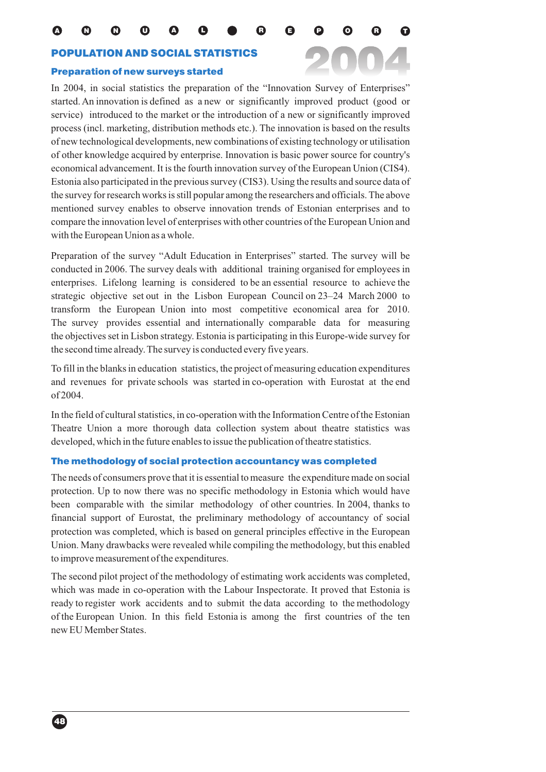#### POPULATION AND SOCIAL STATISTICS

#### Preparation of new surveys started

2004 In 2004, in social statistics the preparation of the "Innovation Survey of Enterprises" started. An innovation is defined as a new or significantly improved product (good or service) introduced to the market or the introduction of a new or significantly improved process (incl. marketing, distribution methods etc.). The innovation is based on the results of new technological developments, new combinations of existing technology or utilisation of other knowledge acquired by enterprise. Innovation is basic power source for country's economical advancement. It is the fourth innovation survey of the European Union (CIS4). Estonia also participated in the previous survey (CIS3). Using the results and source data of the survey for research works is still popular among the researchers and officials. The above mentioned survey enables to observe innovation trends of Estonian enterprises and to compare the innovation level of enterprises with other countries of the European Union and with the European Union as a whole.

Preparation of the survey "Adult Education in Enterprises" started. The survey will be conducted in 2006. The survey deals with additional training organised for employees in enterprises. Lifelong learning is considered to be an essential resource to achieve the strategic objective set out in the Lisbon European Council on 23–24 March 2000 to transform the European Union into most competitive economical area for 2010. The survey provides essential and internationally comparable data for measuring the objectives set in Lisbon strategy. Estonia is participating in this Europe-wide survey for the second time already. The survey is conducted every five years.

To fill in the blanks in education statistics, the project of measuring education expenditures and revenues for private schools was started in co-operation with Eurostat at the end of 2004.

In the field of cultural statistics, in co-operation with the Information Centre of the Estonian Theatre Union a more thorough data collection system about theatre statistics was developed, which in the future enables to issue the publication of theatre statistics.

#### The methodology of social protection accountancy was completed

The needs of consumers prove that it is essential to measure the expenditure made on social protection. Up to now there was no specific methodology in Estonia which would have been comparable with the similar methodology of other countries. In 2004, thanks to financial support of Eurostat, the preliminary methodology of accountancy of social protection was completed, which is based on general principles effective in the European Union. Many drawbacks were revealed while compiling the methodology, but this enabled to improve measurement of the expenditures.

The second pilot project of the methodology of estimating work accidents was completed, which was made in co-operation with the Labour Inspectorate. It proved that Estonia is ready to register work accidents and to submit the data according to the methodology of the European Union. In this field Estonia is among the first countries of the ten new EU Member States.

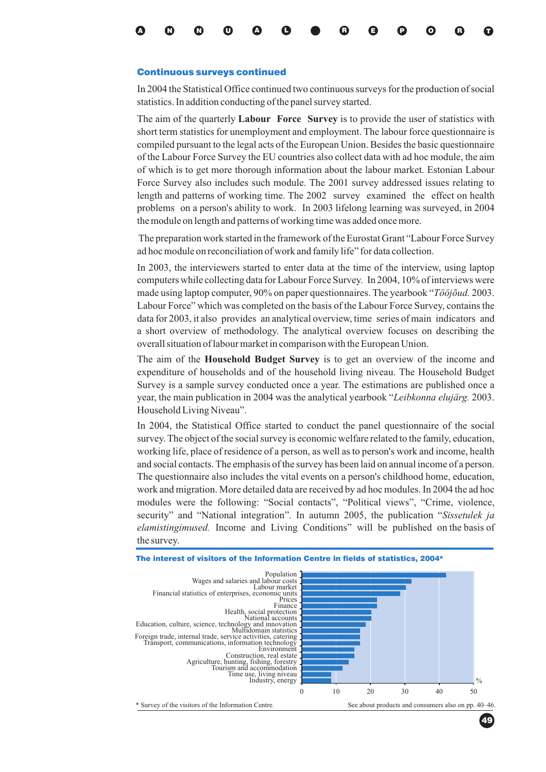#### Continuous surveys continued

In 2004 the Statistical Office continued two continuous surveys for the production of social statistics. In addition conducting of the panel survey started.

The aim of the quarterly **Labour Force Survey** is to provide the user of statistics with short term statistics for unemployment and employment. The labour force questionnaire is compiled pursuant to the legal acts of the European Union. Besides the basic questionnaire of the Labour Force Survey the EU countries also collect data with ad hoc module, the aim of which is to get more thorough information about the labour market. Estonian Labour Force Survey also includes such module. The 2001 survey addressed issues relating to length and patterns of working time. The 2002 survey examined the effect on health problems on a person's ability to work. In 2003 lifelong learning was surveyed, in 2004 the module on length and patterns of working time was added once more.

The preparation work started in the framework of the Eurostat Grant "Labour Force Survey ad hoc module on reconciliation of work and family life" for data collection.

In 2003, the interviewers started to enter data at the time of the interview, using laptop computers while collecting data for Labour Force Survey. In 2004, 10% of interviews were made using laptop computer, 90% on paper questionnaires. The yearbook "Tööjõud. 2003. Labour Force" which was completed on the basis of the Labour Force Survey, contains the data for 2003, it also provides an analytical overview, time series of main indicators and a short overview of methodology. The analytical overview focuses on describing the overall situation of labour market in comparison with the European Union.

The aim of the Household Budget Survey is to get an overview of the income and expenditure of households and of the household living niveau. The Household Budget Survey is a sample survey conducted once a year. The estimations are published once a year, the main publication in 2004 was the analytical yearbook "Leibkonna elujärg. 2003. Household Living Niveau".

In 2004, the Statistical Office started to conduct the panel questionnaire of the social survey. The object of the social survey is economic welfare related to the family, education, working life, place of residence of a person, as well as to person's work and income, health and social contacts. The emphasis of the survey has been laid on annual income of a person. The questionnaire also includes the vital events on a person's childhood home, education, work and migration. More detailed data are received by ad hoc modules. In 2004 the ad hoc modules were the following: "Social contacts", "Political views", "Crime, violence, security" and "National integration". In autumn 2005, the publication " *Sissetulek ja* elamistingimused. Income and Living Conditions" will be published on the basis of the survey.

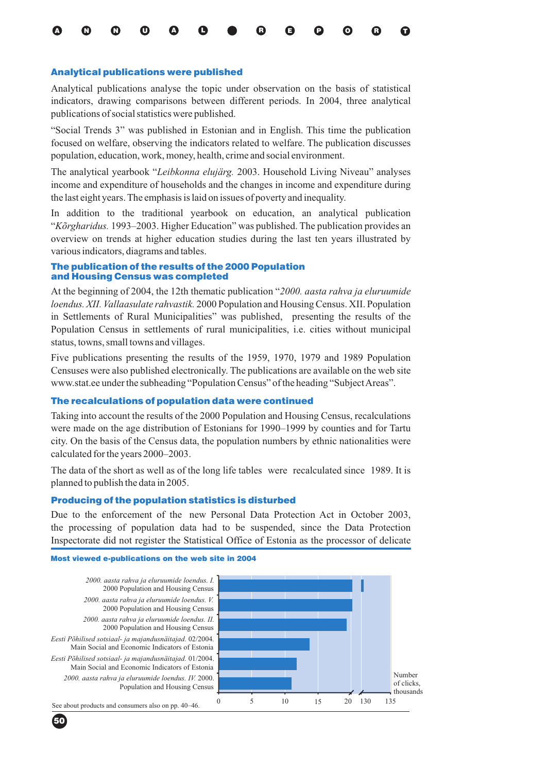#### Analytical publications were published

Analytical publications analyse the topic under observation on the basis of statistical indicators, drawing comparisons between different periods. In 2004, three analytical publications of social statistics were published.

"Social Trends 3" was published in Estonian and in English. This time the publication focused on welfare, observing the indicators related to welfare. The publication discusses population, education, work, money, health, crime and social environment.

The analytical yearbook "Leibkonna elujärg. 2003. Household Living Niveau" analyses income and expenditure of households and the changes in income and expenditure during the last eight years. The emphasis is laid on issues of poverty and inequality.

In addition to the traditional yearbook on education, an analytical publication "Kõrgharidus. 1993–2003. Higher Education" was published. The publication provides an overview on trends at higher education studies during the last ten years illustrated by various indicators, diagrams and tables.

#### The publication of the results of the 2000 Population and Housing Census was completed

At the beginning of 2004, the 12th thematic publication " *2000. aasta rahva ja eluruumide* loendus. XII. Vallaasulate rahvastik. 2000 Population and Housing Census. XII. Population in Settlements of Rural Municipalities" was published, presenting the results of the Population Census in settlements of rural municipalities, i.e. cities without municipal status, towns, small towns and villages.

Five publications presenting the results of the 1959, 1970, 1979 and 1989 Population Censuses were also published electronically. The publications are available on the web site www.stat.ee under the subheading "Population Census" of the heading "SubjectAreas".

#### The recalculations of population data were continued

Taking into account the results of the 2000 Population and Housing Census, recalculations were made on the age distribution of Estonians for 1990–1999 by counties and for Tartu city. On the basis of the Census data, the population numbers by ethnic nationalities were calculated for the years 2000–2003.

The data of the short as well as of the long life tables were recalculated since 1989. It is planned to publish the data in 2005.

#### Producing of the population statistics is disturbed

Due to the enforcement of the new Personal Data Protection Act in October 2003, the processing of population data had to be suspended, since the Data Protection Inspectorate did not register the Statistical Office of Estonia as the processor of delicate

#### Most viewed e-publications on the web site in 2004



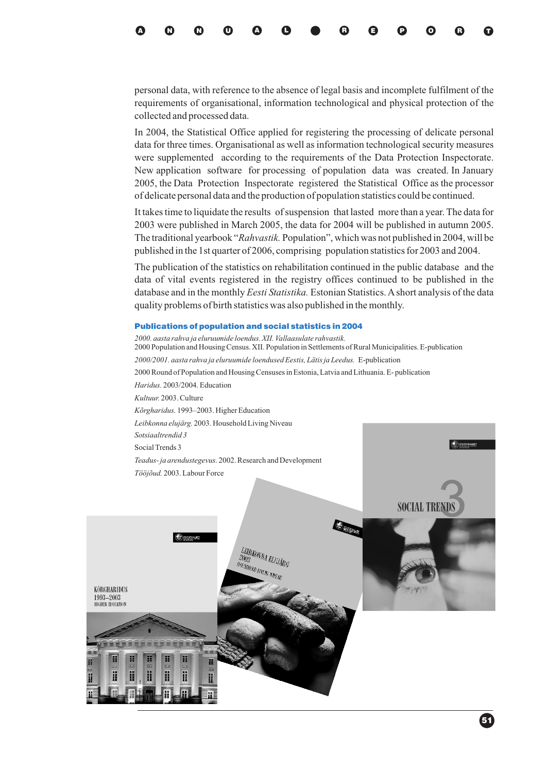

personal data, with reference to the absence of legal basis and incomplete fulfilment of the requirements of organisational, information technological and physical protection of the collected and processed data.

In 2004, the Statistical Office applied for registering the processing of delicate personal data for three times. Organisational as well as information technological security measures were supplemented according to the requirements of the Data Protection Inspectorate. New application software for processing of population data was created. In January 2005, the Data Protection Inspectorate registered the Statistical Office as the processor of delicate personal data and the production of population statistics could be continued.

It takes time to liquidate the results of suspension that lasted more than a year. The data for 2003 were published in March 2005, the data for 2004 will be published in autumn 2005. The traditional yearbook "*Rahvastik*. Population", which was not published in 2004, will be published in the 1st quarter of 2006, comprising population statistics for 2003 and 2004.

The publication of the statistics on rehabilitation continued in the public database and the data of vital events registered in the registry offices continued to be published in the database and in the monthly *Eesti Statistika*. Estonian Statistics. A short analysis of the data quality problems of birth statistics was also published in the monthly.

#### Publications of population and social statistics in 2004

*2000. aasta rahva ja eluruumide loendus. XII. Vallaasulate rahvastik.* 2000 Population and Housing Census. XII. Population in Settlements of Rural Municipalities. E-publication *2000/2001. aasta rahva ja eluruumide loendused Eestis, Lätis ja Leedus.* E-publication 2000 Round of Population and Housing Censuses in Estonia, Latvia and Lithuania. E- publication *Haridus.* 2003/2004. Education *Kultuur.* 2003. Culture *Kõrgharidus.* 1993–2003. Higher Education *Leibkonna elujärg.* 2003. Household Living Niveau *Sotsiaaltrendid 3* Social Trends 3 *Teadus- ja arendustegevus.* 2002. Research and Development *Tööjõud.* 2003. Labour Force **SOCIAL TRENDS** LEIBKONNA ELLUÃRG<br>2003<br><sup>OUSEHOLD</sup>UM  $2003$ **2003 - 2010 ELLUA**<br>HOUSEHOLD LIVING NINEAU KÕRGHARIDUS 1993-2003 **HIGHER EDICATION** 甬 H H H н F H Ï ü

51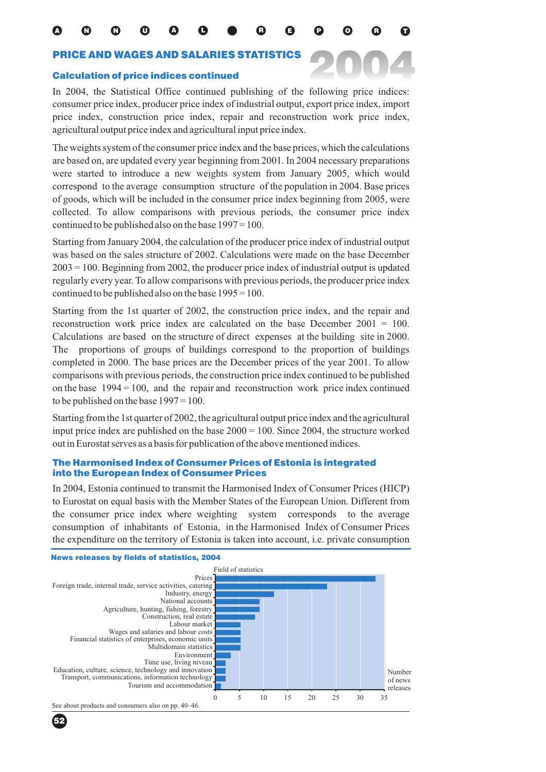## PRICE AND WAGES AND SALARIES STATISTICS

#### Calculation of price indices continued

In 2004, the Statistical Office continued publishing of the following price indices: consumer price index, producer price index of industrial output, export price index, import price index, construction price index, repair and reconstruction work price index, agricultural output price index and agricultural input price index.

The weights system of the consumer price index and the base prices, which the calculations are based on, are updated every year beginning from 2001. In 2004 necessary preparations were started to introduce a new weights system from January 2005, which would correspond to the average consumption structure of the population in 2004. Base prices of goods, which will be included in the consumer price index beginning from 2005, were collected. To allow comparisons with previous periods, the consumer price index continued to be published also on the base 1997 = 100.

Starting from January 2004, the calculation of the producer price index of industrial output was based on the sales structure of 2002. Calculations were made on the base December 2003 = 100. Beginning from 2002, the producer price index of industrial output is updated regularly every year. To allow comparisons with previous periods, the producer price index continued to be published also on the base 1995 = 100.

Starting from the 1st quarter of 2002, the construction price index, and the repair and reconstruction work price index are calculated on the base December 2001 = 100. Calculations are based on the structure of direct expenses at the building site in 2000. The proportions of groups of buildings correspond to the proportion of buildings completed in 2000. The base prices are the December prices of the year 2001. To allow comparisons with previous periods, the construction price index continued to be published on the base  $1994 = 100$ , and the repair and reconstruction work price index continued to be published on the base  $1997 = 100$ .

Starting from the 1st quarter of 2002, the agricultural output price index and the agricultural input price index are published on the base 2000 = 100. Since 2004, the structure worked out in Eurostat serves as a basis for publication of the above mentioned indices.

### The Harmonised Index of Consumer Prices of Estonia is integrated into the European Index of Consumer Prices

In 2004, Estonia continued to transmit the Harmonised Index of Consumer Prices (HICP) to Eurostat on equal basis with the Member States of the European Union. Different from the consumer price index where weighting system corresponds to the average consumption of inhabitants of Estonia, in the Harmonised Index of Consumer Prices the expenditure on the territory of Estonia is taken into account, i.e. private consumption



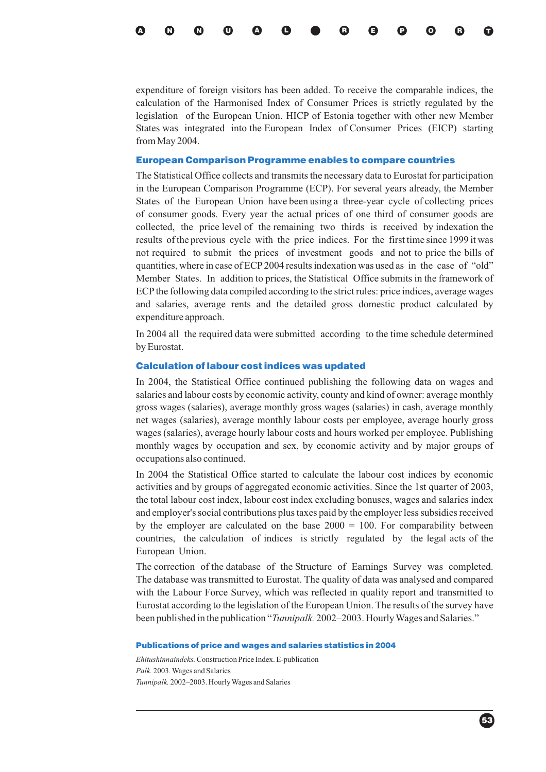expenditure of foreign visitors has been added. To receive the comparable indices, the calculation of the Harmonised Index of Consumer Prices is strictly regulated by the legislation of the European Union. HICP of Estonia together with other new Member States was integrated into the European Index of Consumer Prices (EICP) starting from May 2004.

#### European Comparison Programme enables to compare countries

The Statistical Office collects and transmits the necessary data to Eurostat for participation in the European Comparison Programme (ECP). For several years already, the Member States of the European Union have been using a three-year cycle of collecting prices of consumer goods. Every year the actual prices of one third of consumer goods are collected, the price level of the remaining two thirds is received by indexation the results of the previous cycle with the price indices. For the first time since 1999 it was not required to submit the prices of investment goods and not to price the bills of quantities, where in case of ECP 2004 results indexation was used as in the case of "old" Member States. In addition to prices, the Statistical Office submits in the framework of ECP the following data compiled according to the strict rules: price indices, average wages and salaries, average rents and the detailed gross domestic product calculated by expenditure approach.

In 2004 all the required data were submitted according to the time schedule determined by Eurostat.

## Calculation of labour cost indices was updated

In 2004, the Statistical Office continued publishing the following data on wages and salaries and labour costs by economic activity, county and kind of owner: average monthly gross wages (salaries), average monthly gross wages (salaries) in cash, average monthly net wages (salaries), average monthly labour costs per employee, average hourly gross wages (salaries), average hourly labour costs and hours worked per employee. Publishing monthly wages by occupation and sex, by economic activity and by major groups of occupations also continued.

In 2004 the Statistical Office started to calculate the labour cost indices by economic activities and by groups of aggregated economic activities. Since the 1st quarter of 2003, the total labour cost index, labour cost index excluding bonuses, wages and salaries index and employer's social contributions plus taxes paid by the employer less subsidies received by the employer are calculated on the base  $2000 = 100$ . For comparability between countries, the calculation of indices is strictly regulated by the legal acts of the European Union.

The correction of the database of the Structure of Earnings Survey was completed. The database was transmitted to Eurostat. The quality of data was analysed and compared with the Labour Force Survey, which was reflected in quality report and transmitted to Eurostat according to the legislation of the European Union. The results of the survey have been published in the publication "*Tunnipalk*. 2002–2003. Hourly Wages and Salaries."

#### Publications of price and wages and salaries statistics in 2004

Ehitushinnaindeks. Construction Price Index. E-publication Palk. 2003. Wages and Salaries 2002–2003. Hourly Wages and Salaries *Tunnipalk.*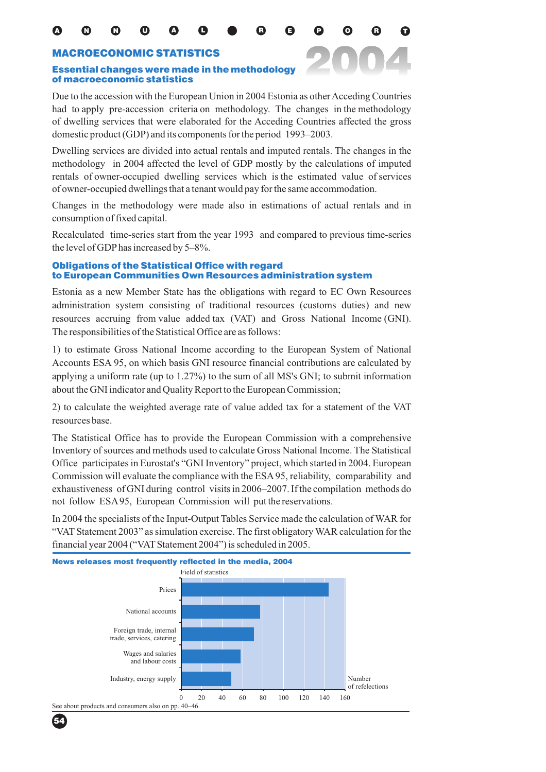2004

## MACROECONOMIC STATISTICS

## Essential changes were made in the methodology of macroeconomic statistics

Due to the accession with the European Union in 2004 Estonia as other Acceding Countries had to apply pre-accession criteria on methodology. The changes in the methodology of dwelling services that were elaborated for the Acceding Countries affected the gross domestic product (GDP) and its components for the period 1993–2003.

Dwelling services are divided into actual rentals and imputed rentals. The changes in the methodology in 2004 affected the level of GDP mostly by the calculations of imputed rentals of owner-occupied dwelling services which is the estimated value of services of owner-occupied dwellings that a tenant would pay for the same accommodation.

Changes in the methodology were made also in estimations of actual rentals and in consumption of fixed capital.

Recalculated time-series start from the year 1993 and compared to previous time-series the level of GDPhas increased by 5–8%.

## Obligations of the Statistical Office with regard to European Communities Own Resources administration system

Estonia as a new Member State has the obligations with regard to EC Own Resources administration system consisting of traditional resources (customs duties) and new resources accruing from value added tax (VAT) and Gross National Income (GNI). The responsibilities of the Statistical Office are as follows:

1) to estimate Gross National Income according to the European System of National Accounts ESA 95, on which basis GNI resource financial contributions are calculated by applying a uniform rate (up to 1.27%) to the sum of all MS's GNI; to submit information about the GNI indicator and Quality Report to the European Commission;

2) to calculate the weighted average rate of value added tax for a statement of the VAT resources base.

The Statistical Office has to provide the European Commission with a comprehensive Inventory of sources and methods used to calculate Gross National Income. The Statistical Office participates in Eurostat's "GNI Inventory" project, which started in 2004. European Commission will evaluate the compliance with the ESA 95, reliability, comparability and exhaustiveness of GNI during control visits in 2006–2007. If the compilation methods do not follow ESA95, European Commission will put the reservations.

In 2004 the specialists of the Input-Output Tables Service made the calculation of WAR for "VAT Statement 2003" as simulation exercise. The first obligatory WAR calculation for the financial year 2004 ("VAT Statement 2004") is scheduled in 2005.



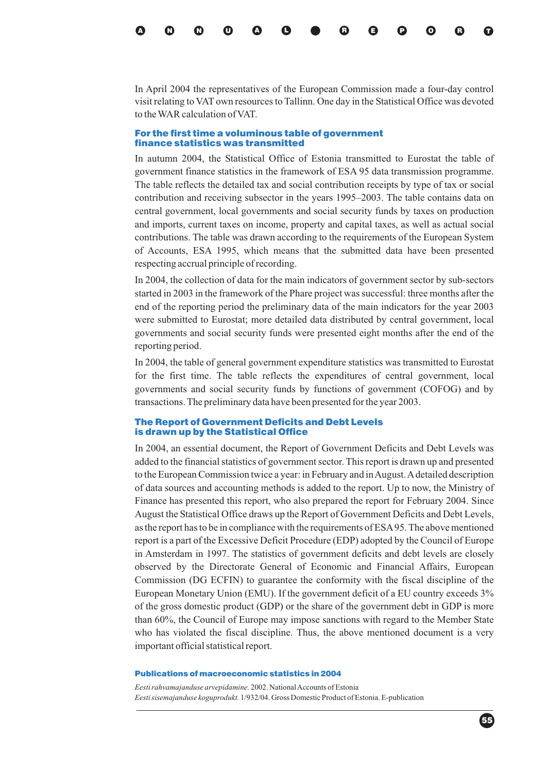

In April 2004 the representatives of the European Commission made a four-day control visit relating to VAT own resources to Tallinn. One day in the Statistical Office was devoted to the WAR calculation of VAT.

#### For the first time a voluminous table of government finance statistics was transmitted

In autumn 2004, the Statistical Office of Estonia transmitted to Eurostat the table of government finance statistics in the framework of ESA 95 data transmission programme. The table reflects the detailed tax and social contribution receipts by type of tax or social contribution and receiving subsector in the years 1995–2003. The table contains data on central government, local governments and social security funds by taxes on production and imports, current taxes on income, property and capital taxes, as well as actual social contributions. The table was drawn according to the requirements of the European System of Accounts, ESA 1995, which means that the submitted data have been presented respecting accrual principle of recording.

In 2004, the collection of data for the main indicators of government sector by sub-sectors started in 2003 in the framework of the Phare project was successful: three months after the end of the reporting period the preliminary data of the main indicators for the year 2003 were submitted to Eurostat; more detailed data distributed by central government, local governments and social security funds were presented eight months after the end of the reporting period.

In 2004, the table of general government expenditure statistics was transmitted to Eurostat for the first time. The table reflects the expenditures of central government, local governments and social security funds by functions of government (COFOG) and by transactions. The preliminary data have been presented for the year 2003.

#### The Report of Government Deficits and Debt Levels is drawn up by the Statistical Office

In 2004, an essential document, the Report of Government Deficits and Debt Levels was added to the financial statistics of government sector. This report is drawn up and presented to the European Commission twice a year: in February and inAugust.Adetailed description of data sources and accounting methods is added to the report. Up to now, the Ministry of Finance has presented this report, who also prepared the report for February 2004. Since August the Statistical Office draws up the Report of Government Deficits and Debt Levels, as the report has to be in compliance with the requirements of ESA95. The above mentioned report is a part of the Excessive Deficit Procedure (EDP) adopted by the Council of Europe in Amsterdam in 1997. The statistics of government deficits and debt levels are closely observed by the Directorate General of Economic and Financial Affairs, European Commission (DG ECFIN) to guarantee the conformity with the fiscal discipline of the European Monetary Union (EMU). If the government deficit of a EU country exceeds 3% of the gross domestic product (GDP) or the share of the government debt in GDP is more than 60%, the Council of Europe may impose sanctions with regard to the Member State who has violated the fiscal discipline. Thus, the above mentioned document is a very important official statistical report.

#### Publications of macroeconomic statistics in 2004

*Eesti rahvamajanduse arvepidamine.* 2002. NationalAccounts of Estonia *Eesti sisemajanduse koguprodukt.* 1/932/04. Gross Domestic Product of Estonia. E-publication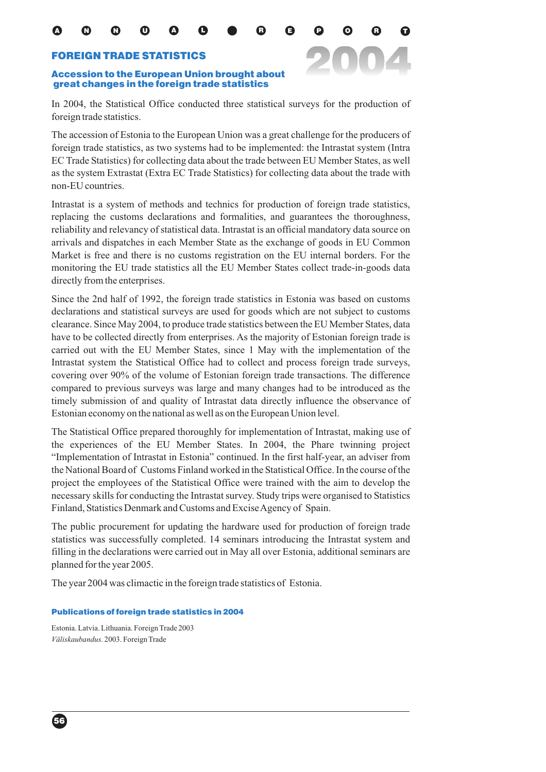## FOREIGN TRADE STATISTICS

#### Accession to the European Union brought about great changes in the foreign trade statistics



In 2004, the Statistical Office conducted three statistical surveys for the production of foreign trade statistics.

The accession of Estonia to the European Union was a great challenge for the producers of foreign trade statistics, as two systems had to be implemented: the Intrastat system (Intra EC Trade Statistics) for collecting data about the trade between EU Member States, as well as the system Extrastat (Extra EC Trade Statistics) for collecting data about the trade with non-EU countries.

Intrastat is a system of methods and technics for production of foreign trade statistics, replacing the customs declarations and formalities, and guarantees the thoroughness, reliability and relevancy of statistical data. Intrastat is an official mandatory data source on arrivals and dispatches in each Member State as the exchange of goods in EU Common Market is free and there is no customs registration on the EU internal borders. For the monitoring the EU trade statistics all the EU Member States collect trade-in-goods data directly from the enterprises.

Since the 2nd half of 1992, the foreign trade statistics in Estonia was based on customs declarations and statistical surveys are used for goods which are not subject to customs clearance. Since May 2004, to produce trade statistics between the EU Member States, data have to be collected directly from enterprises. As the majority of Estonian foreign trade is carried out with the EU Member States, since 1 May with the implementation of the Intrastat system the Statistical Office had to collect and process foreign trade surveys, covering over 90% of the volume of Estonian foreign trade transactions. The difference compared to previous surveys was large and many changes had to be introduced as the timely submission of and quality of Intrastat data directly influence the observance of Estonian economy on the national as well as on the European Union level.

The Statistical Office prepared thoroughly for implementation of Intrastat, making use of the experiences of the EU Member States. In 2004, the Phare twinning project "Implementation of Intrastat in Estonia" continued. In the first half-year, an adviser from the National Board of Customs Finland worked in the Statistical Office. In the course of the project the employees of the Statistical Office were trained with the aim to develop the necessary skills for conducting the Intrastat survey. Study trips were organised to Statistics Finland, Statistics Denmark and Customs and ExciseAgency of Spain.

The public procurement for updating the hardware used for production of foreign trade statistics was successfully completed. 14 seminars introducing the Intrastat system and filling in the declarations were carried out in May all over Estonia, additional seminars are planned for the year 2005.

The year 2004 was climactic in the foreign trade statistics of Estonia.

Publications of foreign trade statistics in 2004

Estonia. Latvia. Lithuania. Foreign Trade 2003 *Väliskaubandus.* 2003. Foreign Trade

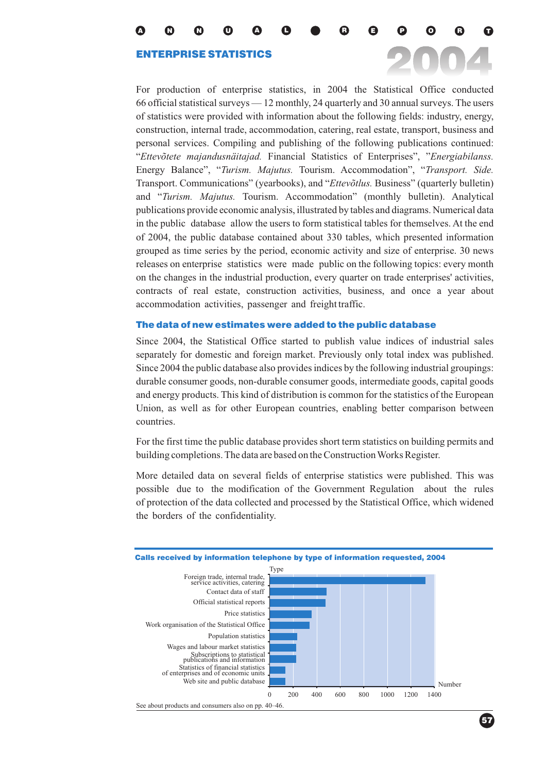## ENTERPRISE STATISTICS

For production of enterprise statistics, in 2004 the Statistical Office conducted 66 official statistical surveys — 12 monthly, 24 quarterly and 30 annual surveys. The users of statistics were provided with information about the following fields: industry, energy, construction, internal trade, accommodation, catering, real estate, transport, business and personal services. Compiling and publishing of the following publications continued: "Ettevõtete majandusnäitajad. Financial Statistics of Enterprises", "Energiabilanss. Energy Balance", "Turism. Majutus. Tourism. Accommodation", "Transport. Side. Transport. Communications" (yearbooks), and "Ettevõtlus. Business" (quarterly bulletin) and "Turism. Majutus. Tourism. Accommodation" (monthly bulletin). Analytical publications provide economic analysis, illustrated by tables and diagrams. Numerical data in the public database allow the users to form statistical tables for themselves. At the end of 2004, the public database contained about 330 tables, which presented information grouped as time series by the period, economic activity and size of enterprise. 30 news releases on enterprise statistics were made public on the following topics: every month on the changes in the industrial production, every quarter on trade enterprises' activities, contracts of real estate, construction activities, business, and once a year about accommodation activities, passenger and freight traffic. 2004

A N N U A L R E P O R T

#### The data of new estimates were added to the public database

Since 2004, the Statistical Office started to publish value indices of industrial sales separately for domestic and foreign market. Previously only total index was published. Since 2004 the public database also provides indices by the following industrial groupings: durable consumer goods, non-durable consumer goods, intermediate goods, capital goods and energy products. This kind of distribution is common for the statistics of the European Union, as well as for other European countries, enabling better comparison between countries.

For the first time the public database provides short term statistics on building permits and building completions. The data are based on the Construction Works Register.

More detailed data on several fields of enterprise statistics were published. This was possible due to the modification of the Government Regulation about the rules of protection of the data collected and processed by the Statistical Office, which widened the borders of the confidentiality.



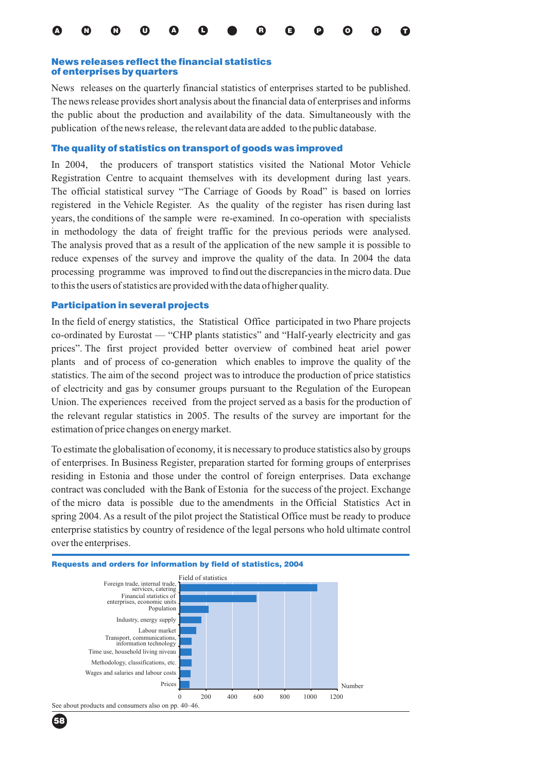

#### News releases reflect the financial statistics of enterprises by quarters

News releases on the quarterly financial statistics of enterprises started to be published. The news release provides short analysis about the financial data of enterprises and informs the public about the production and availability of the data. Simultaneously with the publication of the news release, the relevant data are added to the public database.

#### The quality of statistics on transport of goods was improved

In 2004, the producers of transport statistics visited the National Motor Vehicle Registration Centre to acquaint themselves with its development during last years. The official statistical survey "The Carriage of Goods by Road" is based on lorries registered in the Vehicle Register. As the quality of the register has risen during last years, the conditions of the sample were re-examined. In co-operation with specialists in methodology the data of freight traffic for the previous periods were analysed. The analysis proved that as a result of the application of the new sample it is possible to reduce expenses of the survey and improve the quality of the data. In 2004 the data processing programme was improved to find out the discrepancies in the micro data. Due to this the users of statistics are provided with the data of higher quality.

## Participation in several projects

In the field of energy statistics, the Statistical Office participated in two Phare projects co-ordinated by Eurostat — "CHP plants statistics" and "Half-yearly electricity and gas prices". The first project provided better overview of combined heat ariel power plants and of process of co-generation which enables to improve the quality of the statistics. The aim of the second project was to introduce the production of price statistics of electricity and gas by consumer groups pursuant to the Regulation of the European Union. The experiences received from the project served as a basis for the production of the relevant regular statistics in 2005. The results of the survey are important for the estimation of price changes on energy market.

To estimate the globalisation of economy, it is necessary to produce statistics also by groups of enterprises. In Business Register, preparation started for forming groups of enterprises residing in Estonia and those under the control of foreign enterprises. Data exchange contract was concluded with the Bank of Estonia for the success of the project. Exchange of the micro data is possible due to the amendments in the Official Statistics Act in spring 2004. As a result of the pilot project the Statistical Office must be ready to produce enterprise statistics by country of residence of the legal persons who hold ultimate control over the enterprises.

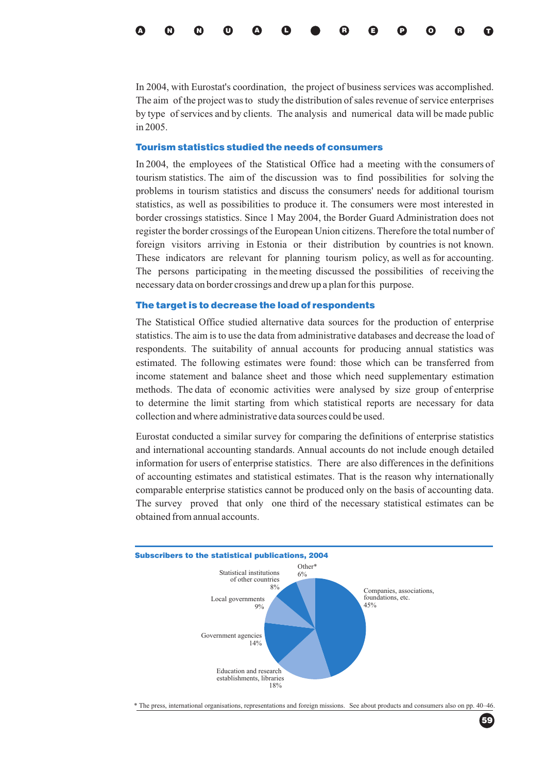

In 2004, with Eurostat's coordination, the project of business services was accomplished. The aim of the project was to study the distribution of sales revenue of service enterprises by type of services and by clients. The analysis and numerical data will be made public in 2005.

## Tourism statistics studied the needs of consumers

In 2004, the employees of the Statistical Office had a meeting with the consumers of tourism statistics. The aim of the discussion was to find possibilities for solving the problems in tourism statistics and discuss the consumers' needs for additional tourism statistics, as well as possibilities to produce it. The consumers were most interested in border crossings statistics. Since 1 May 2004, the Border Guard Administration does not register the border crossings of the European Union citizens. Therefore the total number of foreign visitors arriving in Estonia or their distribution by countries is not known. These indicators are relevant for planning tourism policy, as well as for accounting. The persons participating in the meeting discussed the possibilities of receiving the necessary data on border crossings and drew up a plan for this purpose.

#### The target is to decrease the load of respondents

The Statistical Office studied alternative data sources for the production of enterprise statistics. The aim is to use the data from administrative databases and decrease the load of respondents. The suitability of annual accounts for producing annual statistics was estimated. The following estimates were found: those which can be transferred from income statement and balance sheet and those which need supplementary estimation methods. The data of economic activities were analysed by size group of enterprise to determine the limit starting from which statistical reports are necessary for data collection and where administrative data sources could be used.

Eurostat conducted a similar survey for comparing the definitions of enterprise statistics and international accounting standards. Annual accounts do not include enough detailed information for users of enterprise statistics. There are also differences in the definitions of accounting estimates and statistical estimates. That is the reason why internationally comparable enterprise statistics cannot be produced only on the basis of accounting data. The survey proved that only one third of the necessary statistical estimates can be obtained from annual accounts.



\* The press, international organisations, representations and foreign missions. See about products and consumers also on pp. 40–46.

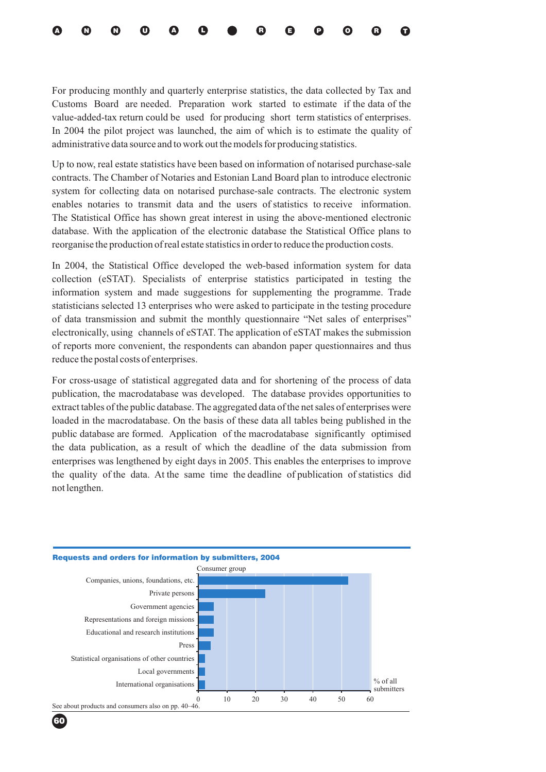| 0 0 0 0 0 0 0 0 0 0 0 0 0 |  |  |  |  |  |  |  |  |  |  |  |  |  |
|---------------------------|--|--|--|--|--|--|--|--|--|--|--|--|--|
|---------------------------|--|--|--|--|--|--|--|--|--|--|--|--|--|

For producing monthly and quarterly enterprise statistics, the data collected by Tax and Customs Board are needed. Preparation work started to estimate if the data of the value-added-tax return could be used for producing short term statistics of enterprises. In 2004 the pilot project was launched, the aim of which is to estimate the quality of administrative data source and to work out the models for producing statistics.

Up to now, real estate statistics have been based on information of notarised purchase-sale contracts. The Chamber of Notaries and Estonian Land Board plan to introduce electronic system for collecting data on notarised purchase-sale contracts. The electronic system enables notaries to transmit data and the users of statistics to receive information. The Statistical Office has shown great interest in using the above-mentioned electronic database. With the application of the electronic database the Statistical Office plans to reorganise the production of real estate statistics in order to reduce the production costs.

In 2004, the Statistical Office developed the web-based information system for data collection (eSTAT). Specialists of enterprise statistics participated in testing the information system and made suggestions for supplementing the programme. Trade statisticians selected 13 enterprises who were asked to participate in the testing procedure of data transmission and submit the monthly questionnaire "Net sales of enterprises" electronically, using channels of eSTAT. The application of eSTAT makes the submission of reports more convenient, the respondents can abandon paper questionnaires and thus reduce the postal costs of enterprises.

For cross-usage of statistical aggregated data and for shortening of the process of data publication, the macrodatabase was developed. The database provides opportunities to extract tables of the public database. The aggregated data of the net sales of enterprises were loaded in the macrodatabase. On the basis of these data all tables being published in the public database are formed. Application of the macrodatabase significantly optimised the data publication, as a result of which the deadline of the data submission from enterprises was lengthened by eight days in 2005. This enables the enterprises to improve the quality of the data. At the same time the deadline of publication of statistics did not lengthen.

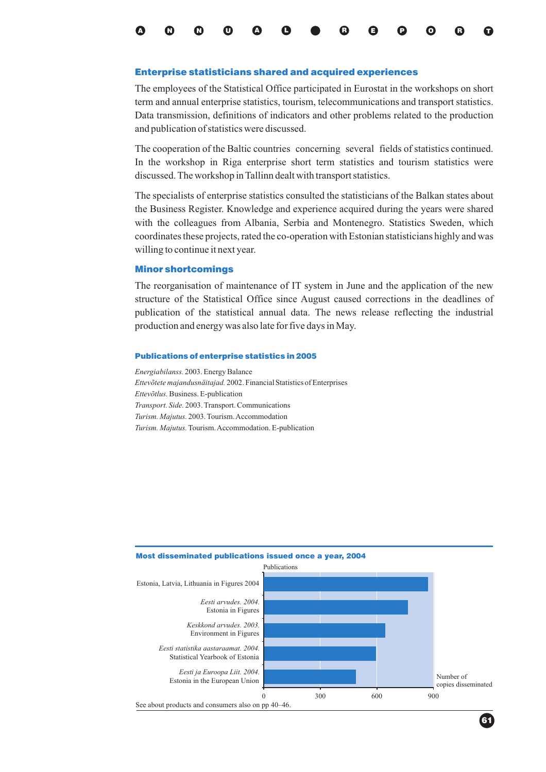

#### Enterprise statisticians shared and acquired experiences

The employees of the Statistical Office participated in Eurostat in the workshops on short term and annual enterprise statistics, tourism, telecommunications and transport statistics. Data transmission, definitions of indicators and other problems related to the production and publication of statistics were discussed.

The cooperation of the Baltic countries concerning several fields of statistics continued. In the workshop in Riga enterprise short term statistics and tourism statistics were discussed. The workshop in Tallinn dealt with transport statistics.

The specialists of enterprise statistics consulted the statisticians of the Balkan states about the Business Register. Knowledge and experience acquired during the years were shared with the colleagues from Albania, Serbia and Montenegro. Statistics Sweden, which coordinates these projects, rated the co-operation with Estonian statisticians highly and was willing to continue it next year.

#### Minor shortcomings

The reorganisation of maintenance of IT system in June and the application of the new structure of the Statistical Office since August caused corrections in the deadlines of publication of the statistical annual data. The news release reflecting the industrial production and energy was also late for five days in May.

#### Publications of enterprise statistics in 2005

*Energiabilanss.* 2003. Energy Balance *Ettevõtete majandusnäitajad.* 2002. Financial Statistics of Enterprises *Ettevõtlus.* Business. E-publication *Transport. Side.* 2003. Transport. Communications *Turism. Majutus.* 2003. Tourism.Accommodation *Turism. Majutus.* Tourism.Accommodation. E-publication

#### Most disseminated publications issued once a year, 2004



61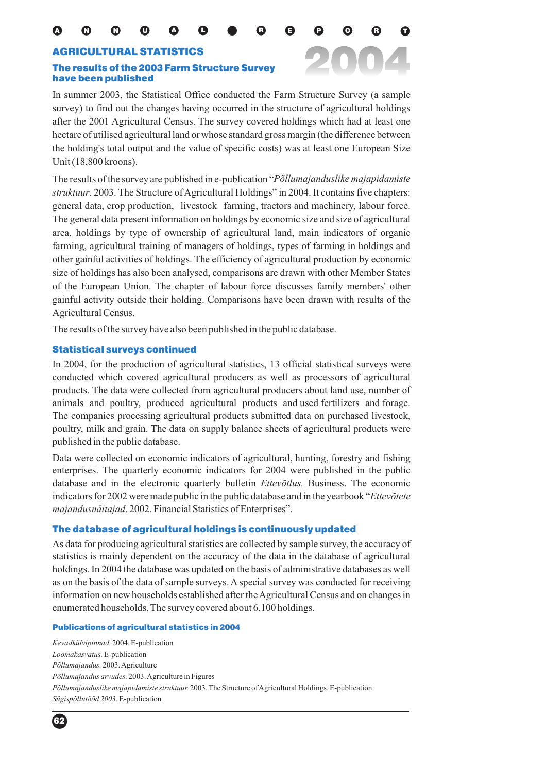#### AGRICULTURAL STATISTICS

## The results of the 2003 Farm Structure Survey have been published

In summer 2003, the Statistical Office conducted the Farm Structure Survey (a sample survey) to find out the changes having occurred in the structure of agricultural holdings after the 2001 Agricultural Census. The survey covered holdings which had at least one hectare of utilised agricultural land or whose standard gross margin (the difference between the holding's total output and the value of specific costs) was at least one European Size Unit (18,800 kroons). 2004

The results of the survey are published in e-publication " *Põllumajanduslike majapidamiste* . 2003. The Structure of Agricultural Holdings" in 2004. It contains five chapters: *struktuur* general data, crop production, livestock farming, tractors and machinery, labour force. The general data present information on holdings by economic size and size of agricultural area, holdings by type of ownership of agricultural land, main indicators of organic farming, agricultural training of managers of holdings, types of farming in holdings and other gainful activities of holdings. The efficiency of agricultural production by economic size of holdings has also been analysed, comparisons are drawn with other Member States of the European Union. The chapter of labour force discusses family members' other gainful activity outside their holding. Comparisons have been drawn with results of the Agricultural Census.

The results of the survey have also been published in the public database.

#### Statistical surveys continued

In 2004, for the production of agricultural statistics, 13 official statistical surveys were conducted which covered agricultural producers as well as processors of agricultural products. The data were collected from agricultural producers about land use, number of animals and poultry, produced agricultural products and used fertilizers and forage. The companies processing agricultural products submitted data on purchased livestock, poultry, milk and grain. The data on supply balance sheets of agricultural products were published in the public database.

Data were collected on economic indicators of agricultural, hunting, forestry and fishing enterprises. The quarterly economic indicators for 2004 were published in the public database and in the electronic quarterly bulletin *Ettevõtlus*. Business. The economic indicators for 2002 were made public in the public database and in the yearbook " *Ettevõtete* . 2002. Financial Statistics of Enterprises". *majandusnäitajad*

## The database of agricultural holdings is continuously updated

As data for producing agricultural statistics are collected by sample survey, the accuracy of statistics is mainly dependent on the accuracy of the data in the database of agricultural holdings. In 2004 the database was updated on the basis of administrative databases as well as on the basis of the data of sample surveys. A special survey was conducted for receiving information on new households established after the Agricultural Census and on changes in enumerated households. The survey covered about 6,100 holdings.

#### Publications of agricultural statistics in 2004

*Kevadkülvipinnad.* 2004. E-publication *Loomakasvatus.* E-publication *Põllumajandus.* 2003.Agriculture *Põllumajandus arvudes.* 2003.Agriculture in Figures *Põllumajanduslike majapidamiste struktuur.* 2003. The Structure ofAgricultural Holdings. E-publication *Sügispõllutööd 2003.* E-publication

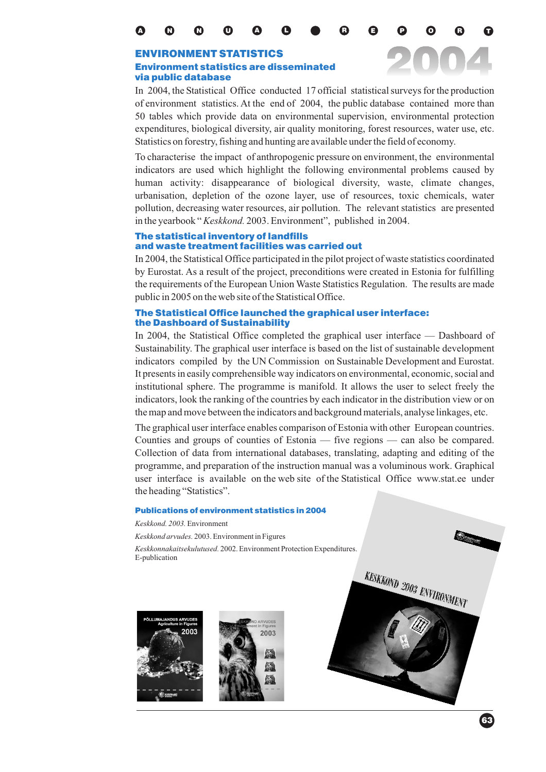## ENVIRONMENT STATISTICS Environment statistics are disseminated via public database



In 2004, the Statistical Office conducted 17 official statistical surveys for the production of environment statistics. At the end of 2004, the public database contained more than 50 tables which provide data on environmental supervision, environmental protection expenditures, biological diversity, air quality monitoring, forest resources, water use, etc. Statistics on forestry, fishing and hunting are available under the field of economy.

To characterise the impact of anthropogenic pressure on environment, the environmental indicators are used which highlight the following environmental problems caused by human activity: disappearance of biological diversity, waste, climate changes, urbanisation, depletion of the ozone layer, use of resources, toxic chemicals, water pollution, decreasing water resources, air pollution. The relevant statistics are presented in the yearbook "Keskkond. 2003. Environment", published in 2004.

# The statistical inventory of landfills and waste treatment facilities was carried out

In 2004, the Statistical Office participated in the pilot project of waste statistics coordinated by Eurostat. As a result of the project, preconditions were created in Estonia for fulfilling the requirements of the European Union Waste Statistics Regulation. The results are made public in 2005 on the web site of the Statistical Office.

## The Statistical Office launched the graphical user interface: the Dashboard of Sustainability

In 2004, the Statistical Office completed the graphical user interface — Dashboard of Sustainability. The graphical user interface is based on the list of sustainable development indicators compiled by the UN Commission on Sustainable Development and Eurostat. It presents in easily comprehensible way indicators on environmental, economic, social and institutional sphere. The programme is manifold. It allows the user to select freely the indicators, look the ranking of the countries by each indicator in the distribution view or on the map and move between the indicators and background materials, analyse linkages, etc.

The graphical user interface enables comparison of Estonia with other European countries. Counties and groups of counties of Estonia — five regions — can also be compared. Collection of data from international databases, translating, adapting and editing of the programme, and preparation of the instruction manual was a voluminous work. Graphical user interface is available on the web site of the Statistical Office www.stat.ee under the heading "Statistics".

#### Publications of environment statistics in 2004

*Keskkond. 2003.* Environment *Keskkond arvudes.* 2003. Environment in Figures *Keskkonnakaitsekulutused.* 2002. Environment Protection Expenditures. E-publication





63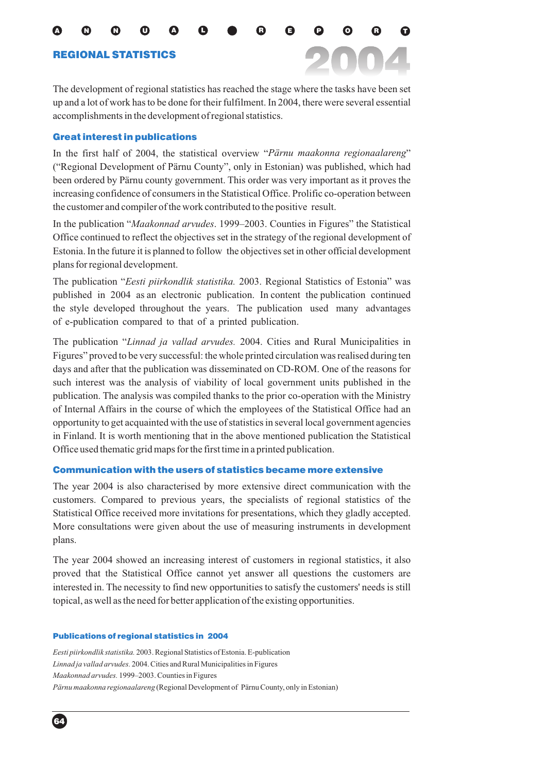# REGIONAL STATISTICS<br>
2004 REGIONAL STATISTICS

The development of regional statistics has reached the stage where the tasks have been set up and a lot of work has to be done for their fulfilment. In 2004, there were several essential accomplishments in the development of regional statistics.

A N N U A L R E P O R T

## Great interest in publications

In the first half of 2004, the statistical overview "Pärnu maakonna regionaalareng" ("Regional Development of Pärnu County", only in Estonian) was published, which had been ordered by Pärnu county government. This order was very important as it proves the increasing confidence of consumers in the Statistical Office. Prolific co-operation between the customer and compiler of the work contributed to the positive result.

In the publication "Maakonnad arvudes. 1999–2003. Counties in Figures" the Statistical Office continued to reflect the objectives set in the strategy of the regional development of Estonia. In the future it is planned to follow the objectives set in other official development plans for regional development.

The publication "Eesti piirkondlik statistika. 2003. Regional Statistics of Estonia" was published in 2004 as an electronic publication. In content the publication continued the style developed throughout the years. The publication used many advantages of e-publication compared to that of a printed publication.

The publication "Linnad ja vallad arvudes. 2004. Cities and Rural Municipalities in Figures" proved to be very successful: the whole printed circulation was realised during ten days and after that the publication was disseminated on CD-ROM. One of the reasons for such interest was the analysis of viability of local government units published in the publication. The analysis was compiled thanks to the prior co-operation with the Ministry of Internal Affairs in the course of which the employees of the Statistical Office had an opportunity to get acquainted with the use of statistics in several local government agencies in Finland. It is worth mentioning that in the above mentioned publication the Statistical Office used thematic grid maps for the first time in a printed publication.

#### Communication with the users of statistics became more extensive

The year 2004 is also characterised by more extensive direct communication with the customers. Compared to previous years, the specialists of regional statistics of the Statistical Office received more invitations for presentations, which they gladly accepted. More consultations were given about the use of measuring instruments in development plans.

The year 2004 showed an increasing interest of customers in regional statistics, it also proved that the Statistical Office cannot yet answer all questions the customers are interested in. The necessity to find new opportunities to satisfy the customers' needs is still topical, as well as the need for better application of the existing opportunities.

#### Publications of regional statistics in 2004

*Eesti piirkondlik statistika.* 2003. Regional Statistics of Estonia. E-publication *Linnad ja vallad arvudes.* 2004. Cities and Rural Municipalities in Figures *Maakonnad arvudes.* 1999–2003. Counties in Figures *Pärnu maakonna regionaalareng* (Regional Development of Pärnu County, only in Estonian)

64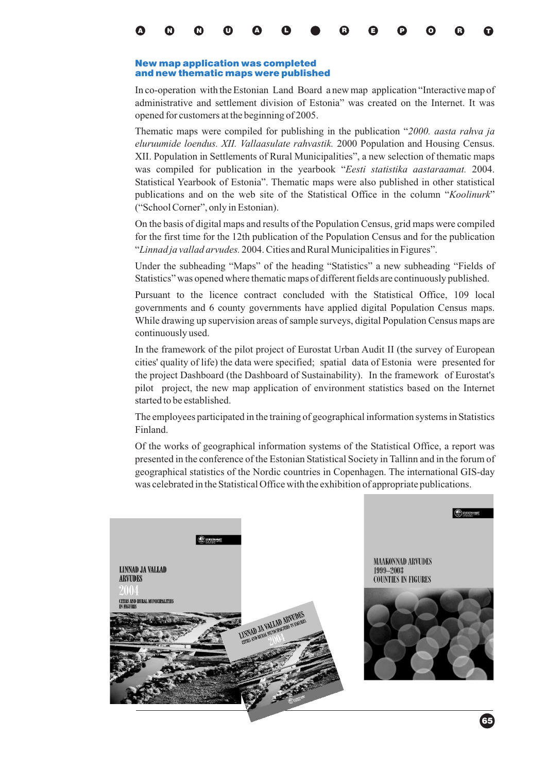#### New map application was completed and new thematic maps were published

In co-operation with the Estonian Land Board a new map application "Interactive map of administrative and settlement division of Estonia" was created on the Internet. It was opened for customers at the beginning of 2005.

Thematic maps were compiled for publishing in the publication " *2000. aasta rahva ja* eluruumide loendus. XII. Vallaasulate rahvastik. 2000 Population and Housing Census. XII. Population in Settlements of Rural Municipalities", a new selection of thematic maps was compiled for publication in the yearbook "Eesti statistika aastaraamat. 2004. Statistical Yearbook of Estonia". Thematic maps were also published in other statistical publications and on the web site of the Statistical Office in the column "Koolinurk" ("School Corner", only in Estonian).

On the basis of digital maps and results of the Population Census, grid maps were compiled for the first time for the 12th publication of the Population Census and for the publication "Linnad ja vallad arvudes. 2004. Cities and Rural Municipalities in Figures".

Under the subheading "Maps" of the heading "Statistics" a new subheading "Fields of Statistics" was opened where thematic maps of different fields are continuously published.

Pursuant to the licence contract concluded with the Statistical Office, 109 local governments and 6 county governments have applied digital Population Census maps. While drawing up supervision areas of sample surveys, digital Population Census maps are continuously used.

In the framework of the pilot project of Eurostat Urban Audit II (the survey of European cities' quality of life) the data were specified; spatial data of Estonia were presented for the project Dashboard (the Dashboard of Sustainability). In the framework of Eurostat's pilot project, the new map application of environment statistics based on the Internet started to be established.

The employees participated in the training of geographical information systems in Statistics Finland.

Of the works of geographical information systems of the Statistical Office, a report was presented in the conference of the Estonian Statistical Society in Tallinn and in the forum of geographical statistics of the Nordic countries in Copenhagen. The international GIS-day was celebrated in the Statistical Office with the exhibition of appropriate publications.

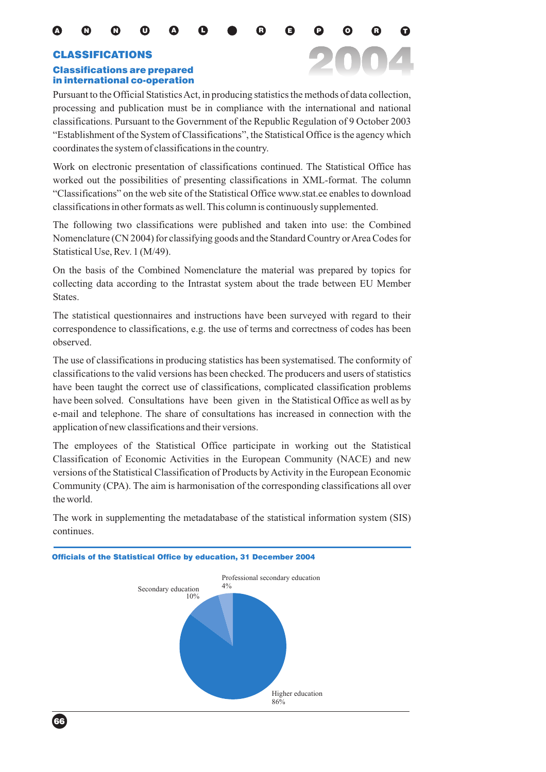# CLASSIFICATIONS

## Classifications are prepared in international co-operation

Pursuant to the Official Statistics Act, in producing statistics the methods of data collection, processing and publication must be in compliance with the international and national classifications. Pursuant to the Government of the Republic Regulation of 9 October 2003 "Establishment of the System of Classifications", the Statistical Office is the agency which coordinates the system of classifications in the country.

2004

Work on electronic presentation of classifications continued. The Statistical Office has worked out the possibilities of presenting classifications in XML-format. The column "Classifications" on the web site of the Statistical Office www.stat.ee enables to download classifications in other formats as well. This column is continuously supplemented.

The following two classifications were published and taken into use: the Combined Nomenclature (CN 2004) for classifying goods and the Standard Country or Area Codes for Statistical Use, Rev. 1 (M/49).

On the basis of the Combined Nomenclature the material was prepared by topics for collecting data according to the Intrastat system about the trade between EU Member States.

The statistical questionnaires and instructions have been surveyed with regard to their correspondence to classifications, e.g. the use of terms and correctness of codes has been observed.

The use of classifications in producing statistics has been systematised. The conformity of classifications to the valid versions has been checked. The producers and users of statistics have been taught the correct use of classifications, complicated classification problems have been solved. Consultations have been given in the Statistical Office as well as by e-mail and telephone. The share of consultations has increased in connection with the application of new classifications and their versions.

The employees of the Statistical Office participate in working out the Statistical Classification of Economic Activities in the European Community (NACE) and new versions of the Statistical Classification of Products by Activity in the European Economic Community (CPA). The aim is harmonisation of the corresponding classifications all over the world.

The work in supplementing the metadatabase of the statistical information system (SIS) continues.



#### Officials of the Statistical Office by education, 31 December 2004

66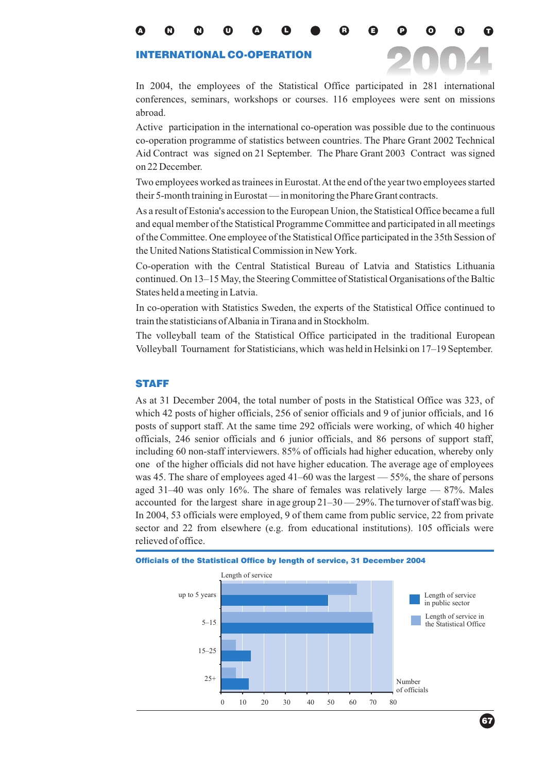## INTERNATIONAL CO-OPERATION

2004 In 2004, the employees of the Statistical Office participated in 281 international conferences, seminars, workshops or courses. 116 employees were sent on missions abroad.

Active participation in the international co-operation was possible due to the continuous co-operation programme of statistics between countries. The Phare Grant 2002 Technical Aid Contract was signed on 21 September. The Phare Grant 2003 Contract was signed on 22 December.

Two employees worked as trainees in Eurostat.At the end of the year two employees started their 5-month training in Eurostat — in monitoring the Phare Grant contracts.

As a result of Estonia's accession to the European Union, the Statistical Office became a full and equal member of the Statistical Programme Committee and participated in all meetings of the Committee. One employee of the Statistical Office participated in the 35th Session of the United Nations Statistical Commission in NewYork.

Co-operation with the Central Statistical Bureau of Latvia and Statistics Lithuania continued. On 13–15 May, the Steering Committee of Statistical Organisations of the Baltic States held a meeting in Latvia.

In co-operation with Statistics Sweden, the experts of the Statistical Office continued to train the statisticians ofAlbania in Tirana and in Stockholm.

The volleyball team of the Statistical Office participated in the traditional European Volleyball Tournament for Statisticians, which was held in Helsinki on 17–19 September.

#### STAFF

As at 31 December 2004, the total number of posts in the Statistical Office was 323, of which 42 posts of higher officials, 256 of senior officials and 9 of junior officials, and 16 posts of support staff. At the same time 292 officials were working, of which 40 higher officials, 246 senior officials and 6 junior officials, and 86 persons of support staff, including 60 non-staff interviewers. 85% of officials had higher education, whereby only one of the higher officials did not have higher education. The average age of employees was 45. The share of employees aged 41–60 was the largest — 55%, the share of persons aged  $31-40$  was only 16%. The share of females was relatively large  $-87%$ . Males accounted for the largest share in age group  $21-30-29\%$ . The turnover of staff was big. In 2004, 53 officials were employed, 9 of them came from public service, 22 from private sector and 22 from elsewhere (e.g. from educational institutions). 105 officials were relieved of office.



67

#### Officials of the Statistical Office by length of service, 31 December 2004